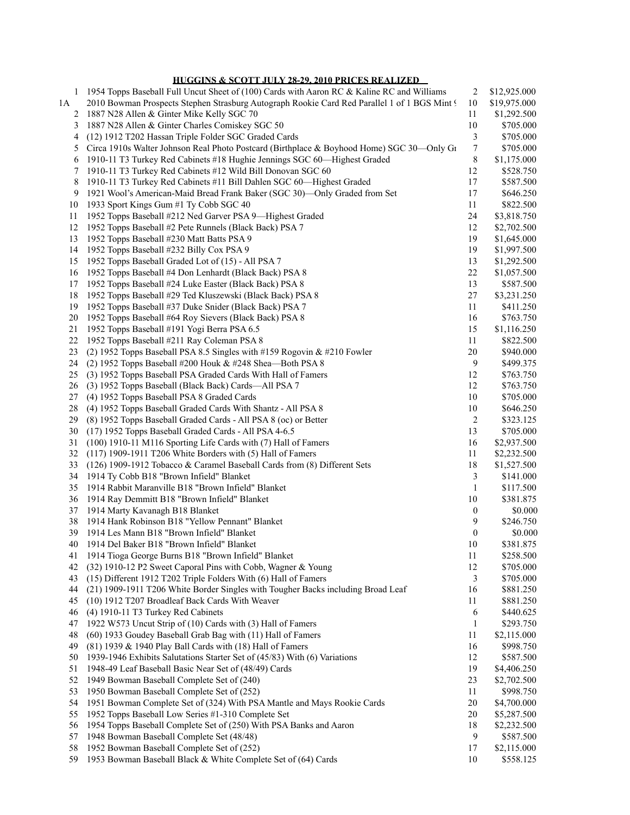## **HUGGINS & SCOTT JULY 28-29, 2010 PRICES REALIZED**

|    | 1 1954 Topps Baseball Full Uncut Sheet of (100) Cards with Aaron RC & Kaline RC and Williams | $\overline{2}$   | \$12,925.000 |
|----|----------------------------------------------------------------------------------------------|------------------|--------------|
| 1A | 2010 Bowman Prospects Stephen Strasburg Autograph Rookie Card Red Parallel 1 of 1 BGS Mint!  | 10               | \$19,975.000 |
| 2  | 1887 N28 Allen & Ginter Mike Kelly SGC 70                                                    | 11               | \$1,292.500  |
| 3  | 1887 N28 Allen & Ginter Charles Comiskey SGC 50                                              | 10               | \$705.000    |
| 4  | (12) 1912 T202 Hassan Triple Folder SGC Graded Cards                                         | 3                | \$705.000    |
| 5  | Circa 1910s Walter Johnson Real Photo Postcard (Birthplace & Boyhood Home) SGC 30—Only Gr    | 7                | \$705.000    |
| 6  | 1910-11 T3 Turkey Red Cabinets #18 Hughie Jennings SGC 60-Highest Graded                     | 8                | \$1,175.000  |
| 7  | 1910-11 T3 Turkey Red Cabinets #12 Wild Bill Donovan SGC 60                                  | 12               | \$528.750    |
| 8  | 1910-11 T3 Turkey Red Cabinets #11 Bill Dahlen SGC 60-Highest Graded                         | 17               | \$587.500    |
| 9  | 1921 Wool's American-Maid Bread Frank Baker (SGC 30)—Only Graded from Set                    | 17               | \$646.250    |
| 10 | 1933 Sport Kings Gum #1 Ty Cobb SGC 40                                                       | 11               | \$822.500    |
| 11 | 1952 Topps Baseball #212 Ned Garver PSA 9-Highest Graded                                     | 24               | \$3,818.750  |
| 12 | 1952 Topps Baseball #2 Pete Runnels (Black Back) PSA 7                                       | 12               | \$2,702.500  |
| 13 | 1952 Topps Baseball #230 Matt Batts PSA 9                                                    | 19               | \$1,645.000  |
| 14 | 1952 Topps Baseball #232 Billy Cox PSA 9                                                     | 19               | \$1,997.500  |
| 15 |                                                                                              | 13               |              |
|    | 1952 Topps Baseball Graded Lot of (15) - All PSA 7                                           |                  | \$1,292.500  |
| 16 | 1952 Topps Baseball #4 Don Lenhardt (Black Back) PSA 8                                       | 22               | \$1,057.500  |
| 17 | 1952 Topps Baseball #24 Luke Easter (Black Back) PSA 8                                       | 13               | \$587.500    |
| 18 | 1952 Topps Baseball #29 Ted Kluszewski (Black Back) PSA 8                                    | 27               | \$3,231.250  |
| 19 | 1952 Topps Baseball #37 Duke Snider (Black Back) PSA 7                                       | 11               | \$411.250    |
| 20 | 1952 Topps Baseball #64 Roy Sievers (Black Back) PSA 8                                       | 16               | \$763.750    |
| 21 | 1952 Topps Baseball #191 Yogi Berra PSA 6.5                                                  | 15               | \$1,116.250  |
| 22 | 1952 Topps Baseball #211 Ray Coleman PSA 8                                                   | 11               | \$822.500    |
| 23 | (2) 1952 Topps Baseball PSA 8.5 Singles with #159 Rogovin & #210 Fowler                      | 20               | \$940.000    |
| 24 | (2) 1952 Topps Baseball #200 Houk & #248 Shea-Both PSA 8                                     | 9                | \$499.375    |
| 25 | (3) 1952 Topps Baseball PSA Graded Cards With Hall of Famers                                 | 12               | \$763.750    |
| 26 | (3) 1952 Topps Baseball (Black Back) Cards-All PSA 7                                         | 12               | \$763.750    |
| 27 | (4) 1952 Topps Baseball PSA 8 Graded Cards                                                   | 10               | \$705.000    |
| 28 | (4) 1952 Topps Baseball Graded Cards With Shantz - All PSA 8                                 | 10               | \$646.250    |
| 29 | (8) 1952 Topps Baseball Graded Cards - All PSA 8 (oc) or Better                              | $\overline{c}$   | \$323.125    |
| 30 | (17) 1952 Topps Baseball Graded Cards - All PSA 4-6.5                                        | 13               | \$705.000    |
| 31 | (100) 1910-11 M116 Sporting Life Cards with (7) Hall of Famers                               | 16               | \$2,937.500  |
| 32 | $(117)$ 1909-1911 T206 White Borders with $(5)$ Hall of Famers                               | 11               | \$2,232.500  |
| 33 | (126) 1909-1912 Tobacco & Caramel Baseball Cards from (8) Different Sets                     | 18               | \$1,527.500  |
| 34 | 1914 Ty Cobb B18 "Brown Infield" Blanket                                                     | 3                | \$141.000    |
| 35 | 1914 Rabbit Maranville B18 "Brown Infield" Blanket                                           | $\mathbf{1}$     | \$117.500    |
| 36 | 1914 Ray Demmitt B18 "Brown Infield" Blanket                                                 | 10               | \$381.875    |
| 37 | 1914 Marty Kavanagh B18 Blanket                                                              | $\boldsymbol{0}$ | \$0.000      |
| 38 | 1914 Hank Robinson B18 "Yellow Pennant" Blanket                                              | 9                | \$246.750    |
| 39 | 1914 Les Mann B18 "Brown Infield" Blanket                                                    | $\boldsymbol{0}$ | \$0.000      |
| 40 | 1914 Del Baker B18 "Brown Infield" Blanket                                                   | 10               | \$381.875    |
| 41 | 1914 Tioga George Burns B18 "Brown Infield" Blanket                                          | 11               | \$258.500    |
| 42 | (32) 1910-12 P2 Sweet Caporal Pins with Cobb, Wagner & Young                                 | 12               | \$705.000    |
| 43 | (15) Different 1912 T202 Triple Folders With (6) Hall of Famers                              | 3                | \$705.000    |
| 44 | (21) 1909-1911 T206 White Border Singles with Tougher Backs including Broad Leaf             | 16               | \$881.250    |
| 45 | (10) 1912 T207 Broadleaf Back Cards With Weaver                                              | 11               | \$881.250    |
| 46 | (4) 1910-11 T3 Turkey Red Cabinets                                                           | 6                | \$440.625    |
| 47 | 1922 W573 Uncut Strip of (10) Cards with (3) Hall of Famers                                  | 1                | \$293.750    |
| 48 | (60) 1933 Goudey Baseball Grab Bag with (11) Hall of Famers                                  | 11               | \$2,115.000  |
| 49 | (81) 1939 & 1940 Play Ball Cards with (18) Hall of Famers                                    | 16               | \$998.750    |
| 50 | 1939-1946 Exhibits Salutations Starter Set of (45/83) With (6) Variations                    | 12               | \$587.500    |
| 51 | 1948-49 Leaf Baseball Basic Near Set of (48/49) Cards                                        | 19               | \$4,406.250  |
| 52 | 1949 Bowman Baseball Complete Set of (240)                                                   | 23               | \$2,702.500  |
| 53 | 1950 Bowman Baseball Complete Set of (252)                                                   | 11               | \$998.750    |
| 54 | 1951 Bowman Complete Set of (324) With PSA Mantle and Mays Rookie Cards                      | 20               | \$4,700.000  |
| 55 | 1952 Topps Baseball Low Series #1-310 Complete Set                                           | 20               | \$5,287.500  |
| 56 | 1954 Topps Baseball Complete Set of (250) With PSA Banks and Aaron                           | 18               | \$2,232.500  |
| 57 |                                                                                              | 9                | \$587.500    |
| 58 | 1948 Bowman Baseball Complete Set (48/48)<br>1952 Bowman Baseball Complete Set of (252)      | 17               | \$2,115.000  |
| 59 | 1953 Bowman Baseball Black & White Complete Set of (64) Cards                                | 10               | \$558.125    |
|    |                                                                                              |                  |              |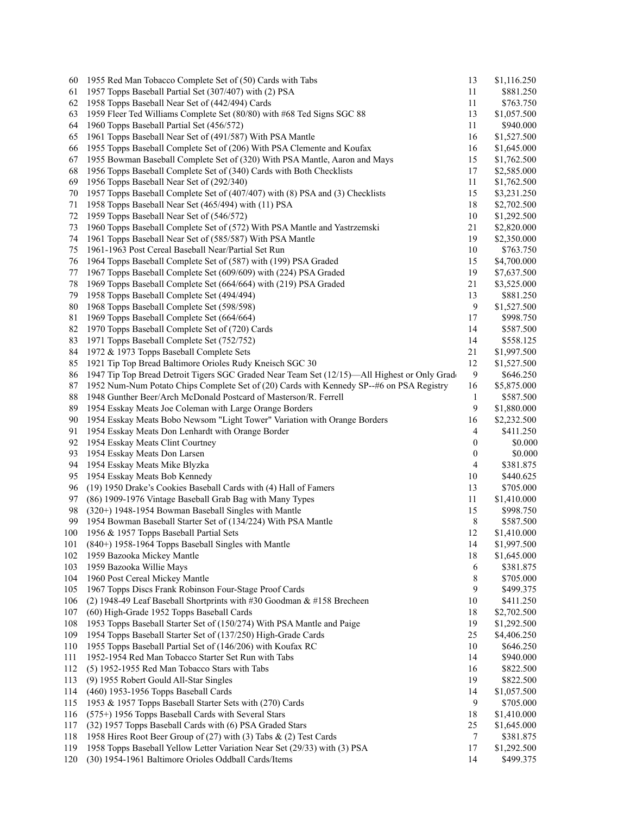| 60  | 1955 Red Man Tobacco Complete Set of (50) Cards with Tabs                                   | 13               | \$1,116.250 |
|-----|---------------------------------------------------------------------------------------------|------------------|-------------|
| 61  | 1957 Topps Baseball Partial Set (307/407) with (2) PSA                                      | 11               | \$881.250   |
| 62  | 1958 Topps Baseball Near Set of (442/494) Cards                                             | 11               | \$763.750   |
| 63  | 1959 Fleer Ted Williams Complete Set (80/80) with #68 Ted Signs SGC 88                      | 13               | \$1,057.500 |
| 64  | 1960 Topps Baseball Partial Set (456/572)                                                   | 11               | \$940.000   |
| 65  | 1961 Topps Baseball Near Set of (491/587) With PSA Mantle                                   | 16               | \$1,527.500 |
| 66  | 1955 Topps Baseball Complete Set of (206) With PSA Clemente and Koufax                      | 16               | \$1,645.000 |
| 67  | 1955 Bowman Baseball Complete Set of (320) With PSA Mantle, Aaron and Mays                  | 15               | \$1,762.500 |
| 68  | 1956 Topps Baseball Complete Set of (340) Cards with Both Checklists                        | 17               | \$2,585.000 |
| 69  | 1956 Topps Baseball Near Set of (292/340)                                                   | 11               | \$1,762.500 |
| 70  | 1957 Topps Baseball Complete Set of (407/407) with (8) PSA and (3) Checklists               | 15               | \$3,231.250 |
| 71  | 1958 Topps Baseball Near Set (465/494) with (11) PSA                                        | 18               | \$2,702.500 |
| 72  | 1959 Topps Baseball Near Set of (546/572)                                                   | 10               | \$1,292.500 |
| 73  | 1960 Topps Baseball Complete Set of (572) With PSA Mantle and Yastrzemski                   | 21               | \$2,820.000 |
| 74  | 1961 Topps Baseball Near Set of (585/587) With PSA Mantle                                   | 19               | \$2,350.000 |
| 75  | 1961-1963 Post Cereal Baseball Near/Partial Set Run                                         | $10\,$           | \$763.750   |
| 76  | 1964 Topps Baseball Complete Set of (587) with (199) PSA Graded                             | 15               | \$4,700.000 |
|     |                                                                                             |                  |             |
| 77  | 1967 Topps Baseball Complete Set (609/609) with (224) PSA Graded                            | 19               | \$7,637.500 |
| 78  | 1969 Topps Baseball Complete Set (664/664) with (219) PSA Graded                            | 21               | \$3,525.000 |
| 79  | 1958 Topps Baseball Complete Set (494/494)                                                  | 13               | \$881.250   |
| 80  | 1968 Topps Baseball Complete Set (598/598)                                                  | 9                | \$1,527.500 |
| 81  | 1969 Topps Baseball Complete Set (664/664)                                                  | 17               | \$998.750   |
| 82  | 1970 Topps Baseball Complete Set of (720) Cards                                             | 14               | \$587.500   |
| 83  | 1971 Topps Baseball Complete Set (752/752)                                                  | 14               | \$558.125   |
| 84  | 1972 & 1973 Topps Baseball Complete Sets                                                    | 21               | \$1,997.500 |
| 85  | 1921 Tip Top Bread Baltimore Orioles Rudy Kneisch SGC 30                                    | 12               | \$1,527.500 |
| 86  | 1947 Tip Top Bread Detroit Tigers SGC Graded Near Team Set (12/15)—All Highest or Only Grad | 9                | \$646.250   |
| 87  | 1952 Num-Num Potato Chips Complete Set of (20) Cards with Kennedy SP--#6 on PSA Registry    | 16               | \$5,875.000 |
| 88  | 1948 Gunther Beer/Arch McDonald Postcard of Masterson/R. Ferrell                            | $\mathbf{1}$     | \$587.500   |
| 89  | 1954 Esskay Meats Joe Coleman with Large Orange Borders                                     | 9                | \$1,880.000 |
| 90  | 1954 Esskay Meats Bobo Newsom "Light Tower" Variation with Orange Borders                   | 16               | \$2,232.500 |
| 91  | 1954 Esskay Meats Don Lenhardt with Orange Border                                           | 4                | \$411.250   |
| 92  | 1954 Esskay Meats Clint Courtney                                                            | $\boldsymbol{0}$ | \$0.000     |
| 93  | 1954 Esskay Meats Don Larsen                                                                | $\boldsymbol{0}$ | \$0.000     |
| 94  | 1954 Esskay Meats Mike Blyzka                                                               | $\overline{4}$   | \$381.875   |
| 95  | 1954 Esskay Meats Bob Kennedy                                                               | 10               | \$440.625   |
| 96  | (19) 1950 Drake's Cookies Baseball Cards with (4) Hall of Famers                            | 13               | \$705.000   |
| 97  | (86) 1909-1976 Vintage Baseball Grab Bag with Many Types                                    | 11               | \$1,410.000 |
| 98  | (320+) 1948-1954 Bowman Baseball Singles with Mantle                                        | 15               | \$998.750   |
| 99  | 1954 Bowman Baseball Starter Set of (134/224) With PSA Mantle                               | $\,8\,$          | \$587.500   |
| 100 | 1956 & 1957 Topps Baseball Partial Sets                                                     | 12               | \$1,410.000 |
| 101 | (840+) 1958-1964 Topps Baseball Singles with Mantle                                         | 14               | \$1,997.500 |
| 102 | 1959 Bazooka Mickey Mantle                                                                  | 18               | \$1,645.000 |
| 103 | 1959 Bazooka Willie Mays                                                                    | 6                | \$381.875   |
| 104 | 1960 Post Cereal Mickey Mantle                                                              | 8                | \$705.000   |
| 105 | 1967 Topps Discs Frank Robinson Four-Stage Proof Cards                                      | 9                | \$499.375   |
| 106 | (2) 1948-49 Leaf Baseball Shortprints with #30 Goodman & #158 Brecheen                      | 10               | \$411.250   |
| 107 | (60) High-Grade 1952 Topps Baseball Cards                                                   | 18               | \$2,702.500 |
| 108 | 1953 Topps Baseball Starter Set of (150/274) With PSA Mantle and Paige                      | 19               | \$1,292.500 |
| 109 | 1954 Topps Baseball Starter Set of (137/250) High-Grade Cards                               | 25               | \$4,406.250 |
| 110 | 1955 Topps Baseball Partial Set of (146/206) with Koufax RC                                 | 10               | \$646.250   |
| 111 | 1952-1954 Red Man Tobacco Starter Set Run with Tabs                                         | 14               | \$940.000   |
| 112 | (5) 1952-1955 Red Man Tobacco Stars with Tabs                                               | 16               | \$822.500   |
|     |                                                                                             |                  |             |
| 113 | (9) 1955 Robert Gould All-Star Singles                                                      | 19               | \$822.500   |
| 114 | (460) 1953-1956 Topps Baseball Cards                                                        | 14               | \$1,057.500 |
| 115 | 1953 & 1957 Topps Baseball Starter Sets with (270) Cards                                    | 9                | \$705.000   |
| 116 | (575+) 1956 Topps Baseball Cards with Several Stars                                         | 18               | \$1,410.000 |
| 117 | (32) 1957 Topps Baseball Cards with (6) PSA Graded Stars                                    | 25               | \$1,645.000 |
| 118 | 1958 Hires Root Beer Group of (27) with (3) Tabs & (2) Test Cards                           | $\tau$           | \$381.875   |
| 119 | 1958 Topps Baseball Yellow Letter Variation Near Set (29/33) with (3) PSA                   | 17               | \$1,292.500 |
| 120 | (30) 1954-1961 Baltimore Orioles Oddball Cards/Items                                        | 14               | \$499.375   |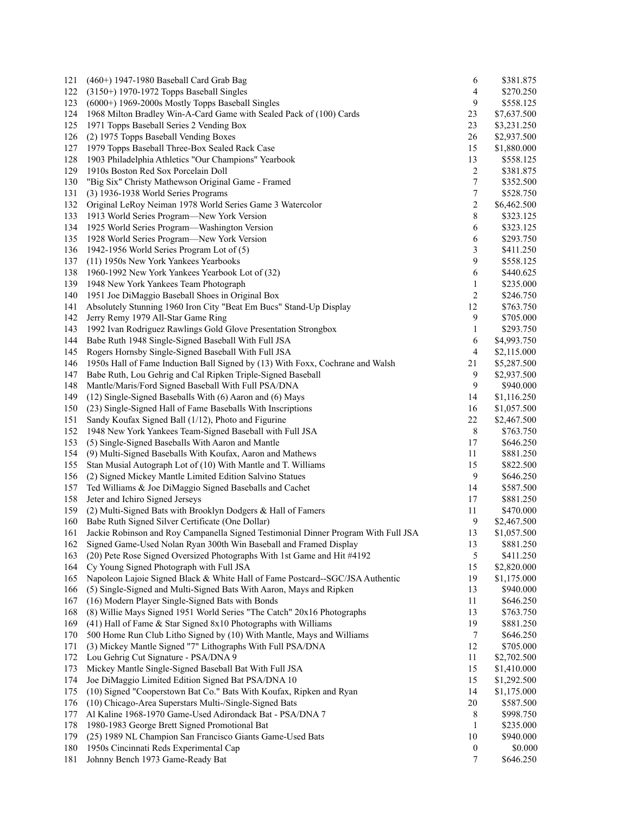| 121 | $(460+)$ 1947-1980 Baseball Card Grab Bag                                          | 6                       | \$381.875   |
|-----|------------------------------------------------------------------------------------|-------------------------|-------------|
| 122 | $(3150+)$ 1970-1972 Topps Baseball Singles                                         | 4                       | \$270.250   |
| 123 | $(6000+)$ 1969-2000s Mostly Topps Baseball Singles                                 | 9                       | \$558.125   |
| 124 | 1968 Milton Bradley Win-A-Card Game with Sealed Pack of (100) Cards                | 23                      | \$7,637.500 |
| 125 | 1971 Topps Baseball Series 2 Vending Box                                           | 23                      | \$3,231.250 |
| 126 | (2) 1975 Topps Baseball Vending Boxes                                              | 26                      | \$2,937.500 |
| 127 | 1979 Topps Baseball Three-Box Sealed Rack Case                                     | 15                      | \$1,880.000 |
| 128 | 1903 Philadelphia Athletics "Our Champions" Yearbook                               | 13                      | \$558.125   |
| 129 | 1910s Boston Red Sox Porcelain Doll                                                | 2                       | \$381.875   |
| 130 | "Big Six" Christy Mathewson Original Game - Framed                                 | 7                       | \$352.500   |
| 131 | (3) 1936-1938 World Series Programs                                                | 7                       | \$528.750   |
| 132 | Original LeRoy Neiman 1978 World Series Game 3 Watercolor                          | $\overline{\mathbf{c}}$ | \$6,462.500 |
| 133 |                                                                                    |                         | \$323.125   |
| 134 | 1913 World Series Program—New York Version                                         | 8                       | \$323.125   |
|     | 1925 World Series Program—Washington Version                                       | 6                       |             |
| 135 | 1928 World Series Program—New York Version                                         | 6                       | \$293.750   |
| 136 | 1942-1956 World Series Program Lot of (5)                                          | 3                       | \$411.250   |
| 137 | (11) 1950s New York Yankees Yearbooks                                              | 9                       | \$558.125   |
| 138 | 1960-1992 New York Yankees Yearbook Lot of (32)                                    | 6                       | \$440.625   |
| 139 | 1948 New York Yankees Team Photograph                                              | 1                       | \$235.000   |
| 140 | 1951 Joe DiMaggio Baseball Shoes in Original Box                                   | 2                       | \$246.750   |
| 141 | Absolutely Stunning 1960 Iron City "Beat Em Bucs" Stand-Up Display                 | 12                      | \$763.750   |
| 142 | Jerry Remy 1979 All-Star Game Ring                                                 | 9                       | \$705.000   |
| 143 | 1992 Ivan Rodriguez Rawlings Gold Glove Presentation Strongbox                     | 1                       | \$293.750   |
| 144 | Babe Ruth 1948 Single-Signed Baseball With Full JSA                                | 6                       | \$4,993.750 |
| 145 | Rogers Hornsby Single-Signed Baseball With Full JSA                                | 4                       | \$2,115.000 |
| 146 | 1950s Hall of Fame Induction Ball Signed by (13) With Foxx, Cochrane and Walsh     | 21                      | \$5,287.500 |
| 147 | Babe Ruth, Lou Gehrig and Cal Ripken Triple-Signed Baseball                        | 9                       | \$2,937.500 |
| 148 | Mantle/Maris/Ford Signed Baseball With Full PSA/DNA                                | 9                       | \$940.000   |
| 149 | (12) Single-Signed Baseballs With (6) Aaron and (6) Mays                           | 14                      | \$1,116.250 |
| 150 | (23) Single-Signed Hall of Fame Baseballs With Inscriptions                        | 16                      | \$1,057.500 |
| 151 | Sandy Koufax Signed Ball (1/12), Photo and Figurine                                | 22                      | \$2,467.500 |
| 152 | 1948 New York Yankees Team-Signed Baseball with Full JSA                           | 8                       | \$763.750   |
| 153 | (5) Single-Signed Baseballs With Aaron and Mantle                                  | 17                      | \$646.250   |
| 154 | (9) Multi-Signed Baseballs With Koufax, Aaron and Mathews                          | 11                      | \$881.250   |
| 155 | Stan Musial Autograph Lot of (10) With Mantle and T. Williams                      | 15                      | \$822.500   |
|     |                                                                                    |                         |             |
| 156 | (2) Signed Mickey Mantle Limited Edition Salvino Statues                           | 9                       | \$646.250   |
| 157 | Ted Williams & Joe DiMaggio Signed Baseballs and Cachet                            | 14                      | \$587.500   |
| 158 | Jeter and Ichiro Signed Jerseys                                                    | 17                      | \$881.250   |
| 159 | (2) Multi-Signed Bats with Brooklyn Dodgers & Hall of Famers                       | 11                      | \$470.000   |
| 160 | Babe Ruth Signed Silver Certificate (One Dollar)                                   | 9                       | \$2,467.500 |
| 161 | Jackie Robinson and Roy Campanella Signed Testimonial Dinner Program With Full JSA | 13                      | \$1,057.500 |
| 162 | Signed Game-Used Nolan Ryan 300th Win Baseball and Framed Display                  | 13                      | \$881.250   |
| 163 | (20) Pete Rose Signed Oversized Photographs With 1st Game and Hit #4192            | 5                       | \$411.250   |
| 164 | Cy Young Signed Photograph with Full JSA                                           | 15                      | \$2,820.000 |
| 165 | Napoleon Lajoie Signed Black & White Hall of Fame Postcard--SGC/JSA Authentic      | 19                      | \$1,175.000 |
| 166 | (5) Single-Signed and Multi-Signed Bats With Aaron, Mays and Ripken                | 13                      | \$940.000   |
| 167 | (16) Modern Player Single-Signed Bats with Bonds                                   | 11                      | \$646.250   |
| 168 | (8) Willie Mays Signed 1951 World Series "The Catch" 20x16 Photographs             | 13                      | \$763.750   |
| 169 | (41) Hall of Fame & Star Signed 8x10 Photographs with Williams                     | 19                      | \$881.250   |
| 170 | 500 Home Run Club Litho Signed by (10) With Mantle, Mays and Williams              | $\tau$                  | \$646.250   |
| 171 | (3) Mickey Mantle Signed "7" Lithographs With Full PSA/DNA                         | 12                      | \$705.000   |
| 172 | Lou Gehrig Cut Signature - PSA/DNA 9                                               | 11                      | \$2,702.500 |
| 173 | Mickey Mantle Single-Signed Baseball Bat With Full JSA                             | 15                      | \$1,410.000 |
| 174 | Joe DiMaggio Limited Edition Signed Bat PSA/DNA 10                                 | 15                      | \$1,292.500 |
|     |                                                                                    |                         |             |
| 175 | (10) Signed "Cooperstown Bat Co." Bats With Koufax, Ripken and Ryan                | 14                      | \$1,175.000 |
| 176 | (10) Chicago-Area Superstars Multi-/Single-Signed Bats                             | 20                      | \$587.500   |
| 177 | Al Kaline 1968-1970 Game-Used Adirondack Bat - PSA/DNA 7                           | 8                       | \$998.750   |
| 178 | 1980-1983 George Brett Signed Promotional Bat                                      | $\mathbf{1}$            | \$235.000   |
| 179 | (25) 1989 NL Champion San Francisco Giants Game-Used Bats                          | 10                      | \$940.000   |
| 180 | 1950s Cincinnati Reds Experimental Cap                                             | 0                       | \$0.000     |
| 181 | Johnny Bench 1973 Game-Ready Bat                                                   | 7                       | \$646.250   |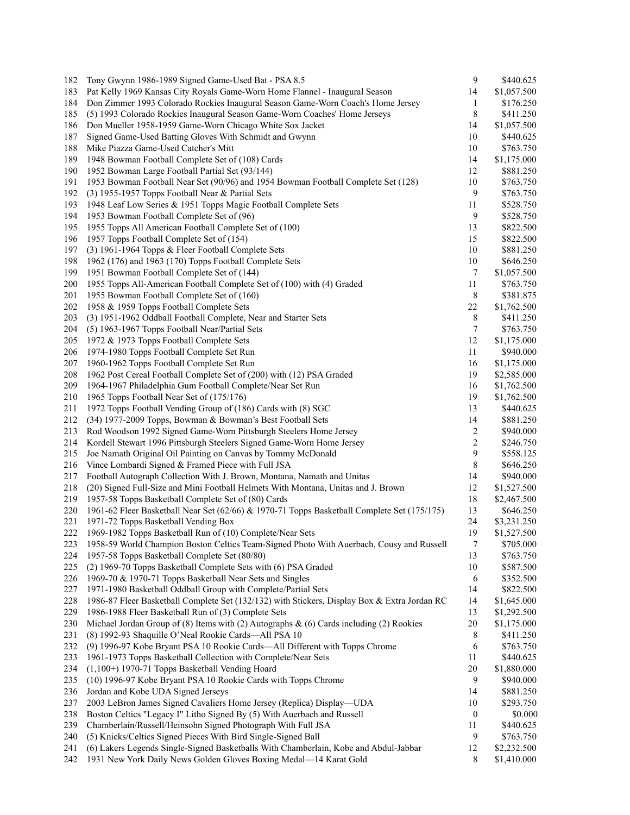| 182 | Tony Gwynn 1986-1989 Signed Game-Used Bat - PSA 8.5                                          | 9                | \$440.625   |
|-----|----------------------------------------------------------------------------------------------|------------------|-------------|
| 183 | Pat Kelly 1969 Kansas City Royals Game-Worn Home Flannel - Inaugural Season                  | 14               | \$1,057.500 |
| 184 | Don Zimmer 1993 Colorado Rockies Inaugural Season Game-Worn Coach's Home Jersey              | 1                | \$176.250   |
| 185 | (5) 1993 Colorado Rockies Inaugural Season Game-Worn Coaches' Home Jerseys                   | 8                | \$411.250   |
| 186 | Don Mueller 1958-1959 Game-Worn Chicago White Sox Jacket                                     | 14               | \$1,057.500 |
| 187 | Signed Game-Used Batting Gloves With Schmidt and Gwynn                                       | 10               | \$440.625   |
| 188 | Mike Piazza Game-Used Catcher's Mitt                                                         | 10               | \$763.750   |
| 189 | 1948 Bowman Football Complete Set of (108) Cards                                             | 14               | \$1,175.000 |
| 190 | 1952 Bowman Large Football Partial Set (93/144)                                              | 12               | \$881.250   |
| 191 | 1953 Bowman Football Near Set (90/96) and 1954 Bowman Football Complete Set (128)            | 10               | \$763.750   |
| 192 | (3) 1955-1957 Topps Football Near & Partial Sets                                             | 9                | \$763.750   |
| 193 | 1948 Leaf Low Series & 1951 Topps Magic Football Complete Sets                               | 11               | \$528.750   |
| 194 | 1953 Bowman Football Complete Set of (96)                                                    | 9                | \$528.750   |
| 195 | 1955 Topps All American Football Complete Set of (100)                                       | 13               | \$822.500   |
| 196 | 1957 Topps Football Complete Set of (154)                                                    | 15               | \$822.500   |
| 197 | (3) 1961-1964 Topps & Fleer Football Complete Sets                                           | 10               | \$881.250   |
| 198 | 1962 (176) and 1963 (170) Topps Football Complete Sets                                       | 10               | \$646.250   |
| 199 | 1951 Bowman Football Complete Set of (144)                                                   | 7                | \$1,057.500 |
| 200 | 1955 Topps All-American Football Complete Set of (100) with (4) Graded                       | 11               | \$763.750   |
| 201 | 1955 Bowman Football Complete Set of (160)                                                   | 8                | \$381.875   |
| 202 | 1958 & 1959 Topps Football Complete Sets                                                     | 22               | \$1,762.500 |
| 203 | (3) 1951-1962 Oddball Football Complete, Near and Starter Sets                               | 8                | \$411.250   |
| 204 | (5) 1963-1967 Topps Football Near/Partial Sets                                               | 7                | \$763.750   |
| 205 | 1972 & 1973 Topps Football Complete Sets                                                     | 12               | \$1,175.000 |
| 206 | 1974-1980 Topps Football Complete Set Run                                                    | 11               | \$940.000   |
| 207 | 1960-1962 Topps Football Complete Set Run                                                    | 16               | \$1,175.000 |
| 208 | 1962 Post Cereal Football Complete Set of (200) with (12) PSA Graded                         | 19               | \$2,585.000 |
| 209 | 1964-1967 Philadelphia Gum Football Complete/Near Set Run                                    | 16               | \$1,762.500 |
| 210 | 1965 Topps Football Near Set of (175/176)                                                    | 19               | \$1,762.500 |
| 211 | 1972 Topps Football Vending Group of (186) Cards with (8) SGC                                | 13               | \$440.625   |
| 212 | (34) 1977-2009 Topps, Bowman & Bowman's Best Football Sets                                   | 14               | \$881.250   |
| 213 | Rod Woodson 1992 Signed Game-Worn Pittsburgh Steelers Home Jersey                            | 2                | \$940.000   |
| 214 | Kordell Stewart 1996 Pittsburgh Steelers Signed Game-Worn Home Jersey                        | 2                | \$246.750   |
| 215 | Joe Namath Original Oil Painting on Canvas by Tommy McDonald                                 | 9                | \$558.125   |
| 216 | Vince Lombardi Signed & Framed Piece with Full JSA                                           | 8                | \$646.250   |
| 217 | Football Autograph Collection With J. Brown, Montana, Namath and Unitas                      | 14               | \$940.000   |
| 218 | (20) Signed Full-Size and Mini Football Helmets With Montana, Unitas and J. Brown            | 12               | \$1,527.500 |
| 219 | 1957-58 Topps Basketball Complete Set of (80) Cards                                          | 18               | \$2,467.500 |
| 220 | 1961-62 Fleer Basketball Near Set (62/66) & 1970-71 Topps Basketball Complete Set (175/175)  | 13               | \$646.250   |
| 221 | 1971-72 Topps Basketball Vending Box                                                         | 24               | \$3,231.250 |
| 222 | 1969-1982 Topps Basketball Run of (10) Complete/Near Sets                                    | 19               | \$1,527.500 |
| 223 | 1958-59 World Champion Boston Celtics Team-Signed Photo With Auerbach, Cousy and Russell     | 7                | \$705.000   |
| 224 | 1957-58 Topps Basketball Complete Set (80/80)                                                | 13               | \$763.750   |
| 225 | (2) 1969-70 Topps Basketball Complete Sets with (6) PSA Graded                               | 10               | \$587.500   |
| 226 | 1969-70 & 1970-71 Topps Basketball Near Sets and Singles                                     | 6                | \$352.500   |
| 227 | 1971-1980 Basketball Oddball Group with Complete/Partial Sets                                | 14               | \$822.500   |
| 228 | 1986-87 Fleer Basketball Complete Set (132/132) with Stickers, Display Box & Extra Jordan RC | 14               | \$1,645.000 |
| 229 | 1986-1988 Fleer Basketball Run of (3) Complete Sets                                          | 13               | \$1,292.500 |
| 230 | Michael Jordan Group of (8) Items with (2) Autographs $\&$ (6) Cards including (2) Rookies   | 20               | \$1,175.000 |
| 231 | (8) 1992-93 Shaquille O'Neal Rookie Cards-All PSA 10                                         | 8                | \$411.250   |
| 232 | (9) 1996-97 Kobe Bryant PSA 10 Rookie Cards-All Different with Topps Chrome                  | 6                | \$763.750   |
| 233 | 1961-1973 Topps Basketball Collection with Complete/Near Sets                                | 11               | \$440.625   |
| 234 | (1,100+) 1970-71 Topps Basketball Vending Hoard                                              | 20               | \$1,880.000 |
| 235 | (10) 1996-97 Kobe Bryant PSA 10 Rookie Cards with Topps Chrome                               | 9                | \$940.000   |
| 236 | Jordan and Kobe UDA Signed Jerseys                                                           | 14               | \$881.250   |
| 237 | 2003 LeBron James Signed Cavaliers Home Jersey (Replica) Display-UDA                         | 10               | \$293.750   |
| 238 | Boston Celtics "Legacy I" Litho Signed By (5) With Auerbach and Russell                      | $\boldsymbol{0}$ | \$0.000     |
| 239 | Chamberlain/Russell/Heinsohn Signed Photograph With Full JSA                                 | 11               | \$440.625   |
| 240 | (5) Knicks/Celtics Signed Pieces With Bird Single-Signed Ball                                | 9                | \$763.750   |
| 241 | (6) Lakers Legends Single-Signed Basketballs With Chamberlain, Kobe and Abdul-Jabbar         | 12               | \$2,232.500 |
| 242 | 1931 New York Daily News Golden Gloves Boxing Medal-14 Karat Gold                            | 8                | \$1,410.000 |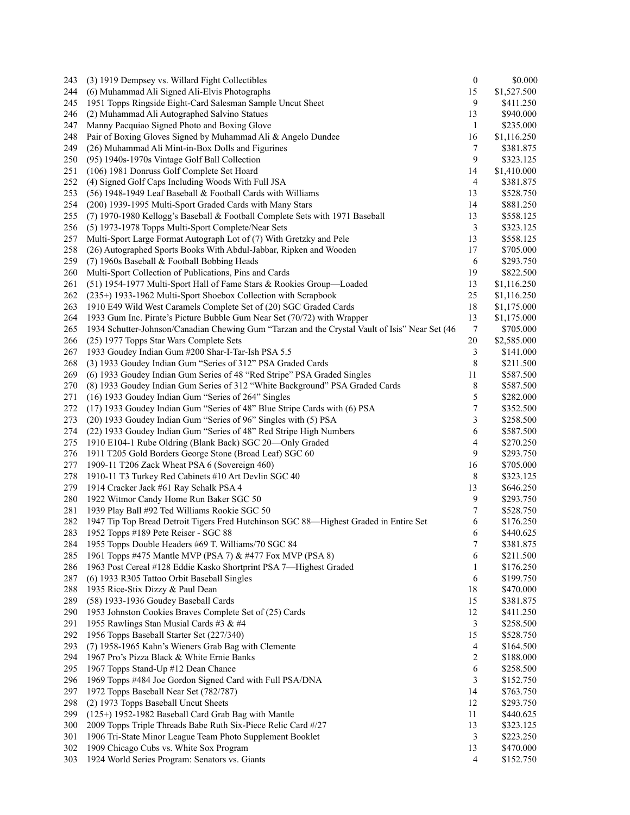| 243 | (3) 1919 Dempsey vs. Willard Fight Collectibles                                                | $\boldsymbol{0}$ | \$0.000     |
|-----|------------------------------------------------------------------------------------------------|------------------|-------------|
| 244 | (6) Muhammad Ali Signed Ali-Elvis Photographs                                                  | 15               | \$1,527.500 |
| 245 | 1951 Topps Ringside Eight-Card Salesman Sample Uncut Sheet                                     | 9                | \$411.250   |
| 246 | (2) Muhammad Ali Autographed Salvino Statues                                                   | 13               | \$940.000   |
| 247 | Manny Pacquiao Signed Photo and Boxing Glove                                                   | 1                | \$235.000   |
| 248 | Pair of Boxing Gloves Signed by Muhammad Ali & Angelo Dundee                                   | 16               | \$1,116.250 |
| 249 | (26) Muhammad Ali Mint-in-Box Dolls and Figurines                                              | 7                | \$381.875   |
| 250 | (95) 1940s-1970s Vintage Golf Ball Collection                                                  | 9                | \$323.125   |
| 251 | (106) 1981 Donruss Golf Complete Set Hoard                                                     | 14               | \$1,410.000 |
| 252 | (4) Signed Golf Caps Including Woods With Full JSA                                             | 4                | \$381.875   |
| 253 | (56) 1948-1949 Leaf Baseball & Football Cards with Williams                                    | 13               | \$528.750   |
| 254 | (200) 1939-1995 Multi-Sport Graded Cards with Many Stars                                       | 14               | \$881.250   |
| 255 | (7) 1970-1980 Kellogg's Baseball & Football Complete Sets with 1971 Baseball                   | 13               | \$558.125   |
| 256 | (5) 1973-1978 Topps Multi-Sport Complete/Near Sets                                             | 3                |             |
|     |                                                                                                |                  | \$323.125   |
| 257 | Multi-Sport Large Format Autograph Lot of (7) With Gretzky and Pele                            | 13               | \$558.125   |
| 258 | (26) Autographed Sports Books With Abdul-Jabbar, Ripken and Wooden                             | 17               | \$705.000   |
| 259 | (7) 1960s Baseball & Football Bobbing Heads                                                    | 6                | \$293.750   |
| 260 | Multi-Sport Collection of Publications, Pins and Cards                                         | 19               | \$822.500   |
| 261 | (51) 1954-1977 Multi-Sport Hall of Fame Stars & Rookies Group-Loaded                           | 13               | \$1,116.250 |
| 262 | (235+) 1933-1962 Multi-Sport Shoebox Collection with Scrapbook                                 | 25               | \$1,116.250 |
| 263 | 1910 E49 Wild West Caramels Complete Set of (20) SGC Graded Cards                              | 18               | \$1,175.000 |
| 264 | 1933 Gum Inc. Pirate's Picture Bubble Gum Near Set (70/72) with Wrapper                        | 13               | \$1,175.000 |
| 265 | 1934 Schutter-Johnson/Canadian Chewing Gum "Tarzan and the Crystal Vault of Isis" Near Set (46 | 7                | \$705.000   |
| 266 | (25) 1977 Topps Star Wars Complete Sets                                                        | 20               | \$2,585.000 |
| 267 | 1933 Goudey Indian Gum #200 Shar-I-Tar-Ish PSA 5.5                                             | 3                | \$141.000   |
| 268 | (3) 1933 Goudey Indian Gum "Series of 312" PSA Graded Cards                                    | 8                | \$211.500   |
| 269 | (6) 1933 Goudey Indian Gum Series of 48 "Red Stripe" PSA Graded Singles                        | 11               | \$587.500   |
| 270 | (8) 1933 Goudey Indian Gum Series of 312 "White Background" PSA Graded Cards                   | 8                | \$587.500   |
| 271 | (16) 1933 Goudey Indian Gum "Series of 264" Singles                                            | 5                | \$282.000   |
| 272 | (17) 1933 Goudey Indian Gum "Series of 48" Blue Stripe Cards with (6) PSA                      | $\boldsymbol{7}$ | \$352.500   |
| 273 | (20) 1933 Goudey Indian Gum "Series of 96" Singles with (5) PSA                                | 3                | \$258.500   |
| 274 | (22) 1933 Goudey Indian Gum "Series of 48" Red Stripe High Numbers                             | 6                | \$587.500   |
|     |                                                                                                | 4                |             |
| 275 | 1910 E104-1 Rube Oldring (Blank Back) SGC 20—Only Graded                                       |                  | \$270.250   |
| 276 | 1911 T205 Gold Borders George Stone (Broad Leaf) SGC 60                                        | 9                | \$293.750   |
| 277 | 1909-11 T206 Zack Wheat PSA 6 (Sovereign 460)                                                  | 16               | \$705.000   |
| 278 | 1910-11 T3 Turkey Red Cabinets #10 Art Devlin SGC 40                                           | 8                | \$323.125   |
| 279 | 1914 Cracker Jack #61 Ray Schalk PSA 4                                                         | 13               | \$646.250   |
| 280 | 1922 Witmor Candy Home Run Baker SGC 50                                                        | 9                | \$293.750   |
| 281 | 1939 Play Ball #92 Ted Williams Rookie SGC 50                                                  | 7                | \$528.750   |
| 282 | 1947 Tip Top Bread Detroit Tigers Fred Hutchinson SGC 88—Highest Graded in Entire Set          | 6                | \$176.250   |
| 283 | 1952 Topps #189 Pete Reiser - SGC 88                                                           | 6                | \$440.625   |
| 284 | 1955 Topps Double Headers #69 T. Williams/70 SGC 84                                            | 7                | \$381.875   |
| 285 | 1961 Topps #475 Mantle MVP (PSA 7) & #477 Fox MVP (PSA 8)                                      | 6                | \$211.500   |
| 286 | 1963 Post Cereal #128 Eddie Kasko Shortprint PSA 7-Highest Graded                              | 1                | \$176.250   |
| 287 | (6) 1933 R305 Tattoo Orbit Baseball Singles                                                    | 6                | \$199.750   |
| 288 | 1935 Rice-Stix Dizzy & Paul Dean                                                               | 18               | \$470.000   |
| 289 | (58) 1933-1936 Goudey Baseball Cards                                                           | 15               | \$381.875   |
| 290 | 1953 Johnston Cookies Braves Complete Set of (25) Cards                                        | 12               | \$411.250   |
| 291 | 1955 Rawlings Stan Musial Cards #3 & #4                                                        | 3                | \$258.500   |
| 292 | 1956 Topps Baseball Starter Set (227/340)                                                      | 15               | \$528.750   |
| 293 | (7) 1958-1965 Kahn's Wieners Grab Bag with Clemente                                            | 4                | \$164.500   |
|     |                                                                                                | $\overline{c}$   |             |
| 294 | 1967 Pro's Pizza Black & White Ernie Banks                                                     |                  | \$188.000   |
| 295 | 1967 Topps Stand-Up #12 Dean Chance                                                            | 6                | \$258.500   |
| 296 | 1969 Topps #484 Joe Gordon Signed Card with Full PSA/DNA                                       | 3                | \$152.750   |
| 297 | 1972 Topps Baseball Near Set (782/787)                                                         | 14               | \$763.750   |
| 298 | (2) 1973 Topps Baseball Uncut Sheets                                                           | 12               | \$293.750   |
| 299 | (125+) 1952-1982 Baseball Card Grab Bag with Mantle                                            | 11               | \$440.625   |
| 300 | 2009 Topps Triple Threads Babe Ruth Six-Piece Relic Card #/27                                  | 13               | \$323.125   |
| 301 | 1906 Tri-State Minor League Team Photo Supplement Booklet                                      | 3                | \$223.250   |
| 302 | 1909 Chicago Cubs vs. White Sox Program                                                        | 13               | \$470.000   |
| 303 | 1924 World Series Program: Senators vs. Giants                                                 | $\overline{4}$   | \$152.750   |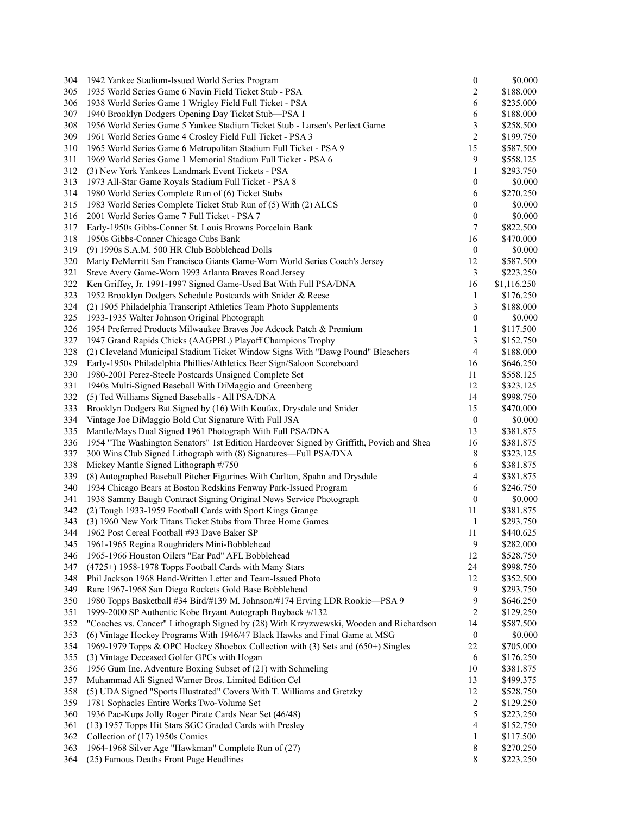| 304 | 1942 Yankee Stadium-Issued World Series Program                                          | $\boldsymbol{0}$ | \$0.000     |
|-----|------------------------------------------------------------------------------------------|------------------|-------------|
| 305 | 1935 World Series Game 6 Navin Field Ticket Stub - PSA                                   | 2                | \$188.000   |
| 306 | 1938 World Series Game 1 Wrigley Field Full Ticket - PSA                                 | 6                | \$235.000   |
| 307 | 1940 Brooklyn Dodgers Opening Day Ticket Stub-PSA 1                                      | 6                | \$188.000   |
| 308 | 1956 World Series Game 5 Yankee Stadium Ticket Stub - Larsen's Perfect Game              | 3                | \$258.500   |
| 309 | 1961 World Series Game 4 Crosley Field Full Ticket - PSA 3                               | $\overline{c}$   | \$199.750   |
| 310 | 1965 World Series Game 6 Metropolitan Stadium Full Ticket - PSA 9                        | 15               | \$587.500   |
| 311 | 1969 World Series Game 1 Memorial Stadium Full Ticket - PSA 6                            | 9                | \$558.125   |
| 312 | (3) New York Yankees Landmark Event Tickets - PSA                                        | 1                | \$293.750   |
| 313 | 1973 All-Star Game Royals Stadium Full Ticket - PSA 8                                    | $\boldsymbol{0}$ | \$0.000     |
| 314 | 1980 World Series Complete Run of (6) Ticket Stubs                                       | 6                | \$270.250   |
| 315 | 1983 World Series Complete Ticket Stub Run of (5) With (2) ALCS                          | $\boldsymbol{0}$ | \$0.000     |
| 316 | 2001 World Series Game 7 Full Ticket - PSA 7                                             | $\boldsymbol{0}$ | \$0.000     |
| 317 | Early-1950s Gibbs-Conner St. Louis Browns Porcelain Bank                                 | 7                | \$822.500   |
| 318 | 1950s Gibbs-Conner Chicago Cubs Bank                                                     | 16               | \$470.000   |
| 319 | (9) 1990s S.A.M. 500 HR Club Bobblehead Dolls                                            | $\boldsymbol{0}$ | \$0.000     |
| 320 | Marty DeMerritt San Francisco Giants Game-Worn World Series Coach's Jersey               | 12               | \$587.500   |
| 321 | Steve Avery Game-Worn 1993 Atlanta Braves Road Jersey                                    | 3                | \$223.250   |
| 322 | Ken Griffey, Jr. 1991-1997 Signed Game-Used Bat With Full PSA/DNA                        | 16               | \$1,116.250 |
| 323 | 1952 Brooklyn Dodgers Schedule Postcards with Snider & Reese                             | 1                | \$176.250   |
| 324 | (2) 1905 Philadelphia Transcript Athletics Team Photo Supplements                        | 3                | \$188.000   |
| 325 | 1933-1935 Walter Johnson Original Photograph                                             | $\boldsymbol{0}$ |             |
|     | 1954 Preferred Products Milwaukee Braves Joe Adcock Patch & Premium                      | 1                | \$0.000     |
| 326 |                                                                                          |                  | \$117.500   |
| 327 | 1947 Grand Rapids Chicks (AAGPBL) Playoff Champions Trophy                               | 3                | \$152.750   |
| 328 | (2) Cleveland Municipal Stadium Ticket Window Signs With "Dawg Pound" Bleachers          | $\overline{4}$   | \$188.000   |
| 329 | Early-1950s Philadelphia Phillies/Athletics Beer Sign/Saloon Scoreboard                  | 16               | \$646.250   |
| 330 | 1980-2001 Perez-Steele Postcards Unsigned Complete Set                                   | 11               | \$558.125   |
| 331 | 1940s Multi-Signed Baseball With DiMaggio and Greenberg                                  | 12               | \$323.125   |
| 332 | (5) Ted Williams Signed Baseballs - All PSA/DNA                                          | 14               | \$998.750   |
| 333 | Brooklyn Dodgers Bat Signed by (16) With Koufax, Drysdale and Snider                     | 15               | \$470.000   |
| 334 | Vintage Joe DiMaggio Bold Cut Signature With Full JSA                                    | $\boldsymbol{0}$ | \$0.000     |
| 335 | Mantle/Mays Dual Signed 1961 Photograph With Full PSA/DNA                                | 13               | \$381.875   |
| 336 | 1954 "The Washington Senators" 1st Edition Hardcover Signed by Griffith, Povich and Shea | 16               | \$381.875   |
| 337 | 300 Wins Club Signed Lithograph with (8) Signatures-Full PSA/DNA                         | 8                | \$323.125   |
| 338 | Mickey Mantle Signed Lithograph #/750                                                    | 6                | \$381.875   |
| 339 | (8) Autographed Baseball Pitcher Figurines With Carlton, Spahn and Drysdale              | 4                | \$381.875   |
| 340 | 1934 Chicago Bears at Boston Redskins Fenway Park-Issued Program                         | 6                | \$246.750   |
| 341 | 1938 Sammy Baugh Contract Signing Original News Service Photograph                       | $\boldsymbol{0}$ | \$0.000     |
| 342 | (2) Tough 1933-1959 Football Cards with Sport Kings Grange                               | 11               | \$381.875   |
| 343 | (3) 1960 New York Titans Ticket Stubs from Three Home Games                              | 1                | \$293.750   |
| 344 | 1962 Post Cereal Football #93 Dave Baker SP                                              | 11               | \$440.625   |
| 345 | 1961-1965 Regina Roughriders Mini-Bobblehead                                             | 9                | \$282.000   |
| 346 | 1965-1966 Houston Oilers "Ear Pad" AFL Bobblehead                                        | 12               | \$528.750   |
| 347 | (4725+) 1958-1978 Topps Football Cards with Many Stars                                   | 24               | \$998.750   |
| 348 | Phil Jackson 1968 Hand-Written Letter and Team-Issued Photo                              | 12               | \$352.500   |
| 349 | Rare 1967-1968 San Diego Rockets Gold Base Bobblehead                                    | 9                | \$293.750   |
| 350 | 1980 Topps Basketball #34 Bird/#139 M. Johnson/#174 Erving LDR Rookie-PSA 9              | 9                | \$646.250   |
| 351 | 1999-2000 SP Authentic Kobe Bryant Autograph Buyback #/132                               | $\overline{c}$   | \$129.250   |
| 352 | "Coaches vs. Cancer" Lithograph Signed by (28) With Krzyzwewski, Wooden and Richardson   | 14               | \$587.500   |
| 353 | (6) Vintage Hockey Programs With 1946/47 Black Hawks and Final Game at MSG               | $\boldsymbol{0}$ | \$0.000     |
| 354 | 1969-1979 Topps & OPC Hockey Shoebox Collection with (3) Sets and (650+) Singles         | 22               | \$705.000   |
| 355 | (3) Vintage Deceased Golfer GPCs with Hogan                                              | 6                | \$176.250   |
| 356 | 1956 Gum Inc. Adventure Boxing Subset of (21) with Schmeling                             | 10               | \$381.875   |
| 357 | Muhammad Ali Signed Warner Bros. Limited Edition Cel                                     | 13               | \$499.375   |
| 358 | (5) UDA Signed "Sports Illustrated" Covers With T. Williams and Gretzky                  | 12               | \$528.750   |
| 359 | 1781 Sophacles Entire Works Two-Volume Set                                               | 2                | \$129.250   |
| 360 | 1936 Pac-Kups Jolly Roger Pirate Cards Near Set (46/48)                                  | 5                | \$223.250   |
| 361 | (13) 1957 Topps Hit Stars SGC Graded Cards with Presley                                  | 4                | \$152.750   |
| 362 | Collection of (17) 1950s Comics                                                          | 1                | \$117.500   |
| 363 | 1964-1968 Silver Age "Hawkman" Complete Run of (27)                                      | 8                | \$270.250   |
| 364 | (25) Famous Deaths Front Page Headlines                                                  | 8                | \$223.250   |
|     |                                                                                          |                  |             |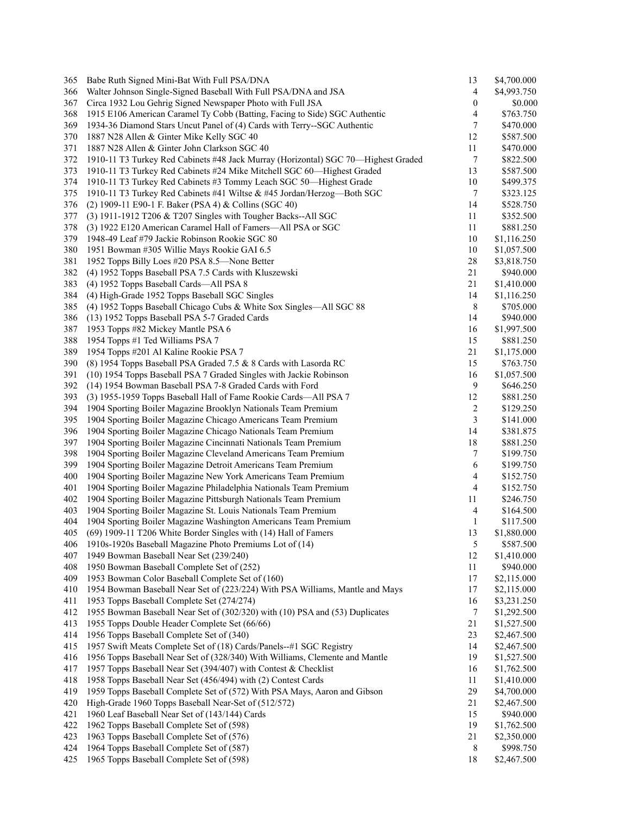| 365 | Babe Ruth Signed Mini-Bat With Full PSA/DNA                                       | 13                      | \$4,700.000 |
|-----|-----------------------------------------------------------------------------------|-------------------------|-------------|
| 366 | Walter Johnson Single-Signed Baseball With Full PSA/DNA and JSA                   | 4                       | \$4,993.750 |
| 367 | Circa 1932 Lou Gehrig Signed Newspaper Photo with Full JSA                        | $\boldsymbol{0}$        | \$0.000     |
| 368 | 1915 E106 American Caramel Ty Cobb (Batting, Facing to Side) SGC Authentic        | 4                       | \$763.750   |
| 369 | 1934-36 Diamond Stars Uncut Panel of (4) Cards with Terry--SGC Authentic          | 7                       | \$470.000   |
| 370 | 1887 N28 Allen & Ginter Mike Kelly SGC 40                                         | 12                      | \$587.500   |
| 371 | 1887 N28 Allen & Ginter John Clarkson SGC 40                                      | 11                      | \$470.000   |
| 372 | 1910-11 T3 Turkey Red Cabinets #48 Jack Murray (Horizontal) SGC 70—Highest Graded | 7                       | \$822.500   |
| 373 | 1910-11 T3 Turkey Red Cabinets #24 Mike Mitchell SGC 60-Highest Graded            | 13                      | \$587.500   |
| 374 | 1910-11 T3 Turkey Red Cabinets #3 Tommy Leach SGC 50-Highest Grade                | 10                      | \$499.375   |
| 375 | 1910-11 T3 Turkey Red Cabinets #41 Wiltse & #45 Jordan/Herzog-Both SGC            | $\tau$                  | \$323.125   |
| 376 | (2) 1909-11 E90-1 F. Baker (PSA 4) & Collins (SGC 40)                             | 14                      | \$528.750   |
| 377 | (3) 1911-1912 T206 & T207 Singles with Tougher Backs--All SGC                     | 11                      | \$352.500   |
| 378 | (3) 1922 E120 American Caramel Hall of Famers—All PSA or SGC                      | 11                      | \$881.250   |
| 379 | 1948-49 Leaf #79 Jackie Robinson Rookie SGC 80                                    | 10                      | \$1,116.250 |
| 380 | 1951 Bowman #305 Willie Mays Rookie GAI 6.5                                       | 10                      | \$1,057.500 |
| 381 | 1952 Topps Billy Loes #20 PSA 8.5-None Better                                     | 28                      | \$3,818.750 |
|     |                                                                                   |                         |             |
| 382 | (4) 1952 Topps Baseball PSA 7.5 Cards with Kluszewski                             | 21                      | \$940.000   |
| 383 | (4) 1952 Topps Baseball Cards—All PSA 8                                           | 21                      | \$1,410.000 |
| 384 | (4) High-Grade 1952 Topps Baseball SGC Singles                                    | 14                      | \$1,116.250 |
| 385 | (4) 1952 Topps Baseball Chicago Cubs & White Sox Singles—All SGC 88               | 8                       | \$705.000   |
| 386 | (13) 1952 Topps Baseball PSA 5-7 Graded Cards                                     | 14                      | \$940.000   |
| 387 | 1953 Topps #82 Mickey Mantle PSA 6                                                | 16                      | \$1,997.500 |
| 388 | 1954 Topps #1 Ted Williams PSA 7                                                  | 15                      | \$881.250   |
| 389 | 1954 Topps #201 Al Kaline Rookie PSA 7                                            | 21                      | \$1,175.000 |
| 390 | (8) 1954 Topps Baseball PSA Graded 7.5 & 8 Cards with Lasorda RC                  | 15                      | \$763.750   |
| 391 | (10) 1954 Topps Baseball PSA 7 Graded Singles with Jackie Robinson                | 16                      | \$1,057.500 |
| 392 | (14) 1954 Bowman Baseball PSA 7-8 Graded Cards with Ford                          | 9                       | \$646.250   |
| 393 | (3) 1955-1959 Topps Baseball Hall of Fame Rookie Cards—All PSA 7                  | 12                      | \$881.250   |
| 394 | 1904 Sporting Boiler Magazine Brooklyn Nationals Team Premium                     | $\overline{\mathbf{c}}$ | \$129.250   |
| 395 | 1904 Sporting Boiler Magazine Chicago Americans Team Premium                      | 3                       | \$141.000   |
| 396 | 1904 Sporting Boiler Magazine Chicago Nationals Team Premium                      | 14                      | \$381.875   |
| 397 | 1904 Sporting Boiler Magazine Cincinnati Nationals Team Premium                   | 18                      | \$881.250   |
| 398 | 1904 Sporting Boiler Magazine Cleveland Americans Team Premium                    | 7                       | \$199.750   |
| 399 | 1904 Sporting Boiler Magazine Detroit Americans Team Premium                      | 6                       | \$199.750   |
| 400 | 1904 Sporting Boiler Magazine New York Americans Team Premium                     | 4                       | \$152.750   |
| 401 | 1904 Sporting Boiler Magazine Philadelphia Nationals Team Premium                 | 4                       | \$152.750   |
| 402 | 1904 Sporting Boiler Magazine Pittsburgh Nationals Team Premium                   | 11                      | \$246.750   |
| 403 | 1904 Sporting Boiler Magazine St. Louis Nationals Team Premium                    | 4                       | \$164.500   |
| 404 | 1904 Sporting Boiler Magazine Washington Americans Team Premium                   | $\mathbf{1}$            | \$117.500   |
| 405 | (69) 1909-11 T206 White Border Singles with (14) Hall of Famers                   | 13                      | \$1,880.000 |
| 406 | 1910s-1920s Baseball Magazine Photo Premiums Lot of (14)                          | $\sqrt{5}$              | \$587.500   |
| 407 | 1949 Bowman Baseball Near Set (239/240)                                           | 12                      | \$1,410.000 |
| 408 | 1950 Bowman Baseball Complete Set of (252)                                        | 11                      | \$940.000   |
| 409 | 1953 Bowman Color Baseball Complete Set of (160)                                  | 17                      | \$2,115.000 |
| 410 | 1954 Bowman Baseball Near Set of (223/224) With PSA Williams, Mantle and Mays     | 17                      | \$2,115.000 |
| 411 | 1953 Topps Baseball Complete Set (274/274)                                        | 16                      | \$3,231.250 |
| 412 | 1955 Bowman Baseball Near Set of (302/320) with (10) PSA and (53) Duplicates      | $\tau$                  | \$1,292.500 |
| 413 | 1955 Topps Double Header Complete Set (66/66)                                     | 21                      | \$1,527.500 |
| 414 | 1956 Topps Baseball Complete Set of (340)                                         | 23                      | \$2,467.500 |
| 415 | 1957 Swift Meats Complete Set of (18) Cards/Panels--#1 SGC Registry               | 14                      | \$2,467.500 |
| 416 | 1956 Topps Baseball Near Set of (328/340) With Williams, Clemente and Mantle      | 19                      | \$1,527.500 |
| 417 | 1957 Topps Baseball Near Set (394/407) with Contest & Checklist                   | 16                      | \$1,762.500 |
| 418 | 1958 Topps Baseball Near Set (456/494) with (2) Contest Cards                     | 11                      | \$1,410.000 |
| 419 | 1959 Topps Baseball Complete Set of (572) With PSA Mays, Aaron and Gibson         | 29                      | \$4,700.000 |
| 420 | High-Grade 1960 Topps Baseball Near-Set of (512/572)                              | 21                      | \$2,467.500 |
| 421 | 1960 Leaf Baseball Near Set of (143/144) Cards                                    | 15                      | \$940.000   |
| 422 | 1962 Topps Baseball Complete Set of (598)                                         | 19                      | \$1,762.500 |
| 423 | 1963 Topps Baseball Complete Set of (576)                                         | 21                      | \$2,350.000 |
| 424 | 1964 Topps Baseball Complete Set of (587)                                         | $\,8\,$                 | \$998.750   |
| 425 | 1965 Topps Baseball Complete Set of (598)                                         | 18                      | \$2,467.500 |
|     |                                                                                   |                         |             |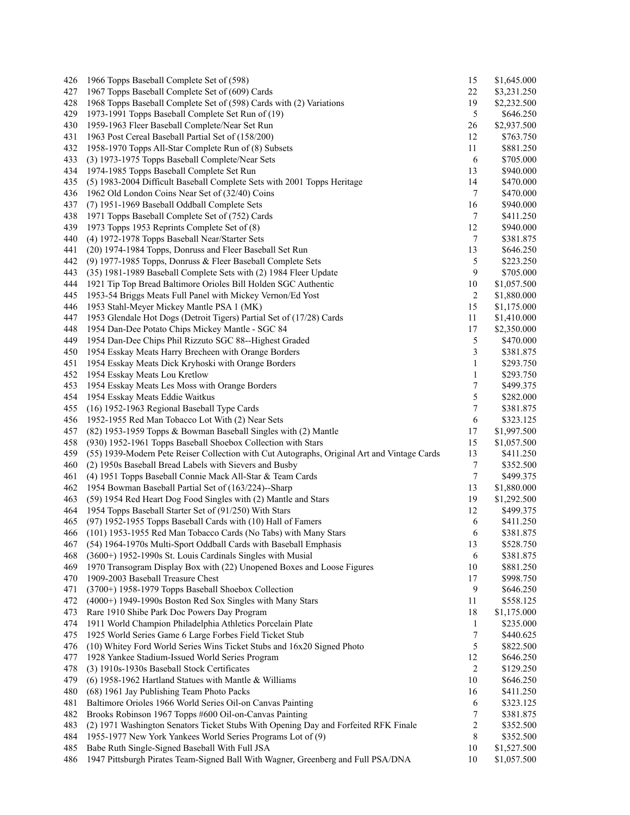| 426        | 1966 Topps Baseball Complete Set of (598)                                                   | 15             | \$1,645.000            |
|------------|---------------------------------------------------------------------------------------------|----------------|------------------------|
| 427        | 1967 Topps Baseball Complete Set of (609) Cards                                             | 22             | \$3,231.250            |
| 428        | 1968 Topps Baseball Complete Set of (598) Cards with (2) Variations                         | 19             | \$2,232.500            |
| 429        | 1973-1991 Topps Baseball Complete Set Run of (19)                                           | 5              | \$646.250              |
| 430        | 1959-1963 Fleer Baseball Complete/Near Set Run                                              | 26             | \$2,937.500            |
| 431        | 1963 Post Cereal Baseball Partial Set of (158/200)                                          | 12             | \$763.750              |
| 432        | 1958-1970 Topps All-Star Complete Run of (8) Subsets                                        | 11             | \$881.250              |
| 433        | (3) 1973-1975 Topps Baseball Complete/Near Sets                                             | 6              | \$705.000              |
| 434        | 1974-1985 Topps Baseball Complete Set Run                                                   | 13             | \$940.000              |
| 435        | (5) 1983-2004 Difficult Baseball Complete Sets with 2001 Topps Heritage                     | 14             | \$470.000              |
| 436        | 1962 Old London Coins Near Set of (32/40) Coins                                             | 7              | \$470.000              |
| 437        | (7) 1951-1969 Baseball Oddball Complete Sets                                                | 16             | \$940.000              |
| 438        | 1971 Topps Baseball Complete Set of (752) Cards                                             | 7              | \$411.250              |
| 439        | 1973 Topps 1953 Reprints Complete Set of (8)                                                | 12             | \$940.000              |
| 440        | (4) 1972-1978 Topps Baseball Near/Starter Sets                                              | 7              | \$381.875              |
| 441        | (20) 1974-1984 Topps, Donruss and Fleer Baseball Set Run                                    | 13             | \$646.250              |
| 442        | (9) 1977-1985 Topps, Donruss & Fleer Baseball Complete Sets                                 | 5              | \$223.250              |
| 443        | (35) 1981-1989 Baseball Complete Sets with (2) 1984 Fleer Update                            | 9              | \$705.000              |
| 444        | 1921 Tip Top Bread Baltimore Orioles Bill Holden SGC Authentic                              | 10             | \$1,057.500            |
| 445        | 1953-54 Briggs Meats Full Panel with Mickey Vernon/Ed Yost                                  | $\overline{c}$ | \$1,880.000            |
| 446        | 1953 Stahl-Meyer Mickey Mantle PSA 1 (MK)                                                   | 15             | \$1,175.000            |
| 447        | 1953 Glendale Hot Dogs (Detroit Tigers) Partial Set of (17/28) Cards                        | 11             | \$1,410.000            |
| 448        | 1954 Dan-Dee Potato Chips Mickey Mantle - SGC 84                                            | 17             | \$2,350.000            |
| 449        | 1954 Dan-Dee Chips Phil Rizzuto SGC 88--Highest Graded                                      | 5              | \$470.000              |
| 450        | 1954 Esskay Meats Harry Brecheen with Orange Borders                                        | 3              | \$381.875              |
| 451        | 1954 Esskay Meats Dick Kryhoski with Orange Borders                                         | 1              | \$293.750              |
| 452        | 1954 Esskay Meats Lou Kretlow                                                               | 1              | \$293.750              |
| 453        | 1954 Esskay Meats Les Moss with Orange Borders                                              | 7              | \$499.375              |
| 454        | 1954 Esskay Meats Eddie Waitkus                                                             | 5              | \$282.000              |
| 455        |                                                                                             | 7              |                        |
| 456        | (16) 1952-1963 Regional Baseball Type Cards                                                 | 6              | \$381.875              |
| 457        | 1952-1955 Red Man Tobacco Lot With (2) Near Sets                                            | 17             | \$323.125              |
| 458        | (82) 1953-1959 Topps & Bowman Baseball Singles with (2) Mantle                              | 15             | \$1,997.500            |
| 459        | (930) 1952-1961 Topps Baseball Shoebox Collection with Stars                                | 13             | \$1,057.500            |
| 460        | (55) 1939-Modern Pete Reiser Collection with Cut Autographs, Original Art and Vintage Cards | 7              | \$411.250              |
|            | (2) 1950s Baseball Bread Labels with Sievers and Busby                                      | 7              | \$352.500<br>\$499.375 |
| 461<br>462 | (4) 1951 Topps Baseball Connie Mack All-Star & Team Cards                                   | 13             |                        |
| 463        | 1954 Bowman Baseball Partial Set of (163/224)--Sharp                                        | 19             | \$1,880.000            |
|            | (59) 1954 Red Heart Dog Food Singles with (2) Mantle and Stars                              |                | \$1,292.500            |
| 464        | 1954 Topps Baseball Starter Set of (91/250) With Stars                                      | 12             | \$499.375              |
| 465        | (97) 1952-1955 Topps Baseball Cards with (10) Hall of Famers                                | 6              | \$411.250              |
| 466        | (101) 1953-1955 Red Man Tobacco Cards (No Tabs) with Many Stars                             | 6              | \$381.875              |
| 467        | (54) 1964-1970s Multi-Sport Oddball Cards with Baseball Emphasis                            | 13             | \$528.750              |
| 468        | (3600+) 1952-1990s St. Louis Cardinals Singles with Musial                                  | 6              | \$381.875              |
| 469        | 1970 Transogram Display Box with (22) Unopened Boxes and Loose Figures                      | 10             | \$881.250              |
| 470        | 1909-2003 Baseball Treasure Chest                                                           | 17             | \$998.750              |
| 471        | (3700+) 1958-1979 Topps Baseball Shoebox Collection                                         | 9              | \$646.250              |
| 472        | (4000+) 1949-1990s Boston Red Sox Singles with Many Stars                                   | 11             | \$558.125              |
| 473        | Rare 1910 Shibe Park Doc Powers Day Program                                                 | 18             | \$1,175.000            |
| 474        | 1911 World Champion Philadelphia Athletics Porcelain Plate                                  | $\mathbf{1}$   | \$235.000              |
| 475        | 1925 World Series Game 6 Large Forbes Field Ticket Stub                                     | 7              | \$440.625              |
| 476        | (10) Whitey Ford World Series Wins Ticket Stubs and 16x20 Signed Photo                      | 5              | \$822.500              |
| 477        | 1928 Yankee Stadium-Issued World Series Program                                             | 12             | \$646.250              |
| 478        | (3) 1910s-1930s Baseball Stock Certificates                                                 | $\overline{c}$ | \$129.250              |
| 479        | (6) 1958-1962 Hartland Statues with Mantle & Williams                                       | 10             | \$646.250              |
| 480        | (68) 1961 Jay Publishing Team Photo Packs                                                   | 16             | \$411.250              |
| 481        | Baltimore Orioles 1966 World Series Oil-on Canvas Painting                                  | 6              | \$323.125              |
| 482        | Brooks Robinson 1967 Topps #600 Oil-on-Canvas Painting                                      | 7              | \$381.875              |
| 483        | (2) 1971 Washington Senators Ticket Stubs With Opening Day and Forfeited RFK Finale         | 2              | \$352.500              |
| 484        | 1955-1977 New York Yankees World Series Programs Lot of (9)                                 | 8              | \$352.500              |
| 485        | Babe Ruth Single-Signed Baseball With Full JSA                                              | 10             | \$1,527.500            |
| 486        | 1947 Pittsburgh Pirates Team-Signed Ball With Wagner, Greenberg and Full PSA/DNA            | $10\,$         | \$1,057.500            |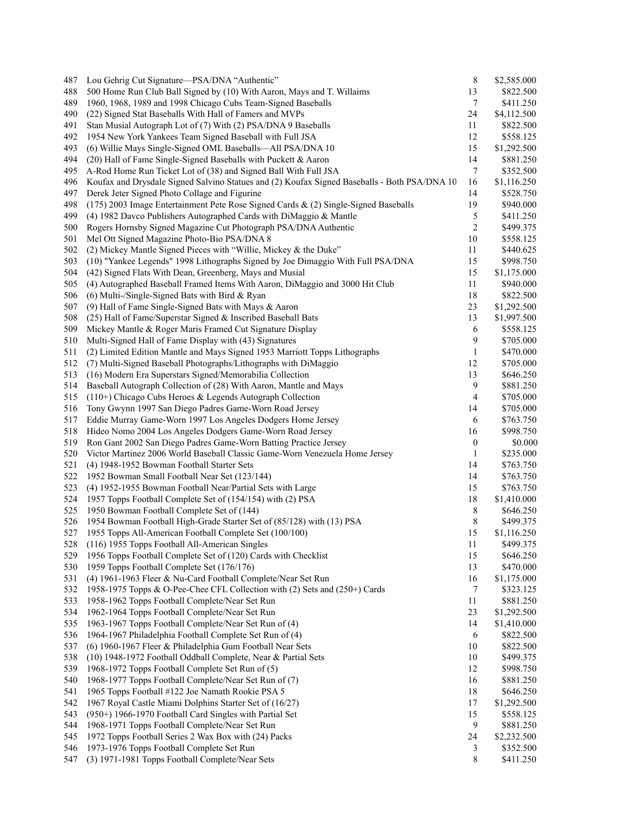| 487 | Lou Gehrig Cut Signature-PSA/DNA "Authentic"                                                 | $\,8\,$          | \$2,585.000 |
|-----|----------------------------------------------------------------------------------------------|------------------|-------------|
| 488 | 500 Home Run Club Ball Signed by (10) With Aaron, Mays and T. Willaims                       | 13               | \$822.500   |
| 489 | 1960, 1968, 1989 and 1998 Chicago Cubs Team-Signed Baseballs                                 | 7                | \$411.250   |
| 490 | (22) Signed Stat Baseballs With Hall of Famers and MVPs                                      | 24               | \$4,112.500 |
| 491 | Stan Musial Autograph Lot of (7) With (2) PSA/DNA 9 Baseballs                                | 11               | \$822.500   |
| 492 | 1954 New York Yankees Team Signed Baseball with Full JSA                                     | 12               | \$558.125   |
| 493 | (6) Willie Mays Single-Signed OML Baseballs-All PSA/DNA 10                                   | 15               | \$1,292.500 |
| 494 | (20) Hall of Fame Single-Signed Baseballs with Puckett & Aaron                               | 14               | \$881.250   |
| 495 | A-Rod Home Run Ticket Lot of (38) and Signed Ball With Full JSA                              | $\tau$           | \$352.500   |
| 496 | Koufax and Drysdale Signed Salvino Statues and (2) Koufax Signed Baseballs - Both PSA/DNA 10 | 16               | \$1,116.250 |
| 497 | Derek Jeter Signed Photo Collage and Figurine                                                | 14               | \$528.750   |
| 498 | (175) 2003 Image Entertainment Pete Rose Signed Cards & (2) Single-Signed Baseballs          | 19               | \$940.000   |
| 499 | (4) 1982 Davco Publishers Autographed Cards with DiMaggio & Mantle                           | 5                | \$411.250   |
| 500 | Rogers Hornsby Signed Magazine Cut Photograph PSA/DNA Authentic                              | $\sqrt{2}$       | \$499.375   |
| 501 | Mel Ott Signed Magazine Photo-Bio PSA/DNA 8                                                  | 10               | \$558.125   |
| 502 | (2) Mickey Mantle Signed Pieces with "Willie, Mickey & the Duke"                             | 11               | \$440.625   |
| 503 | (10) "Yankee Legends" 1998 Lithographs Signed by Joe Dimaggio With Full PSA/DNA              | 15               | \$998.750   |
| 504 | (42) Signed Flats With Dean, Greenberg, Mays and Musial                                      | 15               | \$1,175.000 |
| 505 | (4) Autographed Baseball Framed Items With Aaron, DiMaggio and 3000 Hit Club                 | 11               | \$940.000   |
|     |                                                                                              |                  |             |
| 506 | (6) Multi-/Single-Signed Bats with Bird & Ryan                                               | 18               | \$822.500   |
| 507 | (9) Hall of Fame Single-Signed Bats with Mays & Aaron                                        | 23               | \$1,292.500 |
| 508 | (25) Hall of Fame/Superstar Signed & Inscribed Baseball Bats                                 | 13               | \$1,997.500 |
| 509 | Mickey Mantle & Roger Maris Framed Cut Signature Display                                     | 6                | \$558.125   |
| 510 | Multi-Signed Hall of Fame Display with (43) Signatures                                       | 9                | \$705.000   |
| 511 | (2) Limited Edition Mantle and Mays Signed 1953 Marriott Topps Lithographs                   | 1                | \$470.000   |
| 512 | (7) Multi-Signed Baseball Photographs/Lithographs with DiMaggio                              | 12               | \$705.000   |
| 513 | (16) Modern Era Superstars Signed/Memorabilia Collection                                     | 13               | \$646.250   |
| 514 | Baseball Autograph Collection of (28) With Aaron, Mantle and Mays                            | $\overline{9}$   | \$881.250   |
| 515 | (110+) Chicago Cubs Heroes & Legends Autograph Collection                                    | 4                | \$705.000   |
| 516 | Tony Gwynn 1997 San Diego Padres Game-Worn Road Jersey                                       | 14               | \$705.000   |
| 517 | Eddie Murray Game-Worn 1997 Los Angeles Dodgers Home Jersey                                  | 6                | \$763.750   |
| 518 | Hideo Nomo 2004 Los Angeles Dodgers Game-Worn Road Jersey                                    | 16               | \$998.750   |
| 519 | Ron Gant 2002 San Diego Padres Game-Worn Batting Practice Jersey                             | $\boldsymbol{0}$ | \$0.000     |
| 520 | Victor Martinez 2006 World Baseball Classic Game-Worn Venezuela Home Jersey                  | $\mathbf{1}$     | \$235.000   |
| 521 | (4) 1948-1952 Bowman Football Starter Sets                                                   | 14               | \$763.750   |
| 522 | 1952 Bowman Small Football Near Set (123/144)                                                | 14               | \$763.750   |
| 523 | (4) 1952-1955 Bowman Football Near/Partial Sets with Large                                   | 15               | \$763.750   |
| 524 | 1957 Topps Football Complete Set of (154/154) with (2) PSA                                   | 18               | \$1,410.000 |
| 525 | 1950 Bowman Football Complete Set of (144)                                                   | 8                | \$646.250   |
| 526 | 1954 Bowman Football High-Grade Starter Set of (85/128) with (13) PSA                        | 8                | \$499.375   |
| 527 | 1955 Topps All-American Football Complete Set (100/100)                                      | 15               | \$1,116.250 |
| 528 | (116) 1955 Topps Football All-American Singles                                               | 11               | \$499.375   |
| 529 | 1956 Topps Football Complete Set of (120) Cards with Checklist                               | 15               | \$646.250   |
| 530 | 1959 Topps Football Complete Set (176/176)                                                   | 13               | \$470.000   |
| 531 | (4) 1961-1963 Fleer & Nu-Card Football Complete/Near Set Run                                 | 16               | \$1,175.000 |
| 532 | 1958-1975 Topps & O-Pee-Chee CFL Collection with (2) Sets and (250+) Cards                   | 7                | \$323.125   |
| 533 | 1958-1962 Topps Football Complete/Near Set Run                                               | 11               | \$881.250   |
| 534 | 1962-1964 Topps Football Complete/Near Set Run                                               | 23               | \$1,292.500 |
| 535 | 1963-1967 Topps Football Complete/Near Set Run of (4)                                        | 14               | \$1,410.000 |
| 536 | 1964-1967 Philadelphia Football Complete Set Run of (4)                                      | 6                | \$822.500   |
| 537 | (6) 1960-1967 Fleer & Philadelphia Gum Football Near Sets                                    | 10               | \$822.500   |
| 538 | (10) 1948-1972 Football Oddball Complete, Near & Partial Sets                                | 10               | \$499.375   |
| 539 | 1968-1972 Topps Football Complete Set Run of (5)                                             | 12               | \$998.750   |
| 540 | 1968-1977 Topps Football Complete/Near Set Run of (7)                                        | 16               | \$881.250   |
| 541 | 1965 Topps Football #122 Joe Namath Rookie PSA 5                                             | 18               | \$646.250   |
| 542 | 1967 Royal Castle Miami Dolphins Starter Set of (16/27)                                      | 17               | \$1,292.500 |
| 543 |                                                                                              | 15               |             |
| 544 | $(950+)$ 1966-1970 Football Card Singles with Partial Set                                    | 9                | \$558.125   |
|     | 1968-1971 Topps Football Complete/Near Set Run                                               |                  | \$881.250   |
| 545 | 1972 Topps Football Series 2 Wax Box with (24) Packs                                         | 24               | \$2,232.500 |
| 546 | 1973-1976 Topps Football Complete Set Run                                                    | 3                | \$352.500   |
| 547 | (3) 1971-1981 Topps Football Complete/Near Sets                                              | 8                | \$411.250   |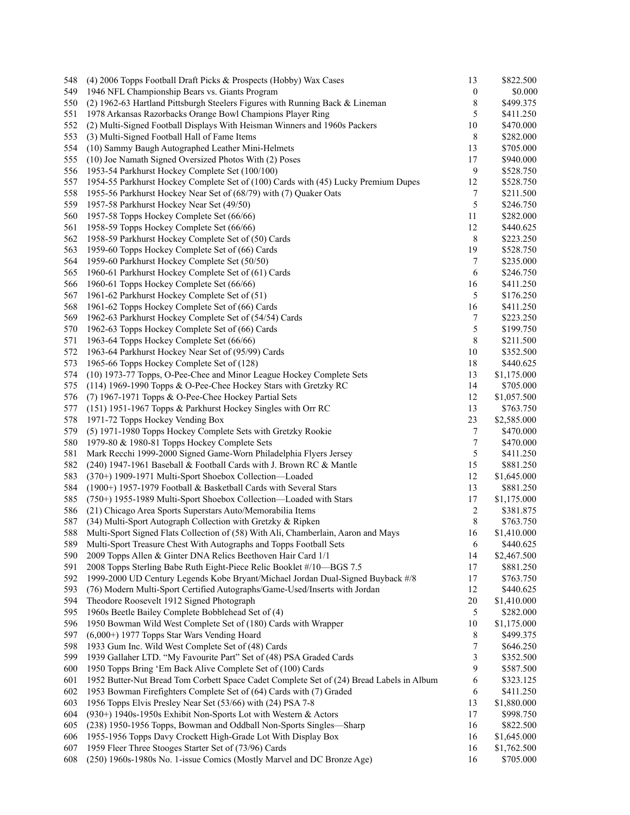| 548 | (4) 2006 Topps Football Draft Picks & Prospects (Hobby) Wax Cases                        | 13 | \$822.500   |
|-----|------------------------------------------------------------------------------------------|----|-------------|
| 549 | 1946 NFL Championship Bears vs. Giants Program                                           | 0  | \$0.000     |
| 550 | (2) 1962-63 Hartland Pittsburgh Steelers Figures with Running Back & Lineman             | 8  | \$499.375   |
| 551 | 1978 Arkansas Razorbacks Orange Bowl Champions Player Ring                               | 5  | \$411.250   |
| 552 | (2) Multi-Signed Football Displays With Heisman Winners and 1960s Packers                | 10 | \$470.000   |
| 553 | (3) Multi-Signed Football Hall of Fame Items                                             | 8  | \$282.000   |
| 554 | (10) Sammy Baugh Autographed Leather Mini-Helmets                                        | 13 | \$705.000   |
| 555 | (10) Joe Namath Signed Oversized Photos With (2) Poses                                   | 17 | \$940.000   |
| 556 | 1953-54 Parkhurst Hockey Complete Set (100/100)                                          | 9  | \$528.750   |
| 557 | 1954-55 Parkhurst Hockey Complete Set of (100) Cards with (45) Lucky Premium Dupes       | 12 | \$528.750   |
| 558 | 1955-56 Parkhurst Hockey Near Set of (68/79) with (7) Quaker Oats                        | 7  | \$211.500   |
| 559 | 1957-58 Parkhurst Hockey Near Set (49/50)                                                | 5  | \$246.750   |
|     |                                                                                          |    |             |
| 560 | 1957-58 Topps Hockey Complete Set (66/66)                                                | 11 | \$282.000   |
| 561 | 1958-59 Topps Hockey Complete Set (66/66)                                                | 12 | \$440.625   |
| 562 | 1958-59 Parkhurst Hockey Complete Set of (50) Cards                                      | 8  | \$223.250   |
| 563 | 1959-60 Topps Hockey Complete Set of (66) Cards                                          | 19 | \$528.750   |
| 564 | 1959-60 Parkhurst Hockey Complete Set (50/50)                                            | 7  | \$235.000   |
| 565 | 1960-61 Parkhurst Hockey Complete Set of (61) Cards                                      | 6  | \$246.750   |
| 566 | 1960-61 Topps Hockey Complete Set (66/66)                                                | 16 | \$411.250   |
| 567 | 1961-62 Parkhurst Hockey Complete Set of (51)                                            | 5  | \$176.250   |
| 568 | 1961-62 Topps Hockey Complete Set of (66) Cards                                          | 16 | \$411.250   |
| 569 | 1962-63 Parkhurst Hockey Complete Set of (54/54) Cards                                   | 7  | \$223.250   |
| 570 | 1962-63 Topps Hockey Complete Set of (66) Cards                                          | 5  | \$199.750   |
| 571 | 1963-64 Topps Hockey Complete Set (66/66)                                                | 8  | \$211.500   |
| 572 | 1963-64 Parkhurst Hockey Near Set of (95/99) Cards                                       | 10 | \$352.500   |
| 573 | 1965-66 Topps Hockey Complete Set of (128)                                               | 18 | \$440.625   |
| 574 | (10) 1973-77 Topps, O-Pee-Chee and Minor League Hockey Complete Sets                     | 13 | \$1,175.000 |
| 575 | (114) 1969-1990 Topps & O-Pee-Chee Hockey Stars with Gretzky RC                          | 14 | \$705.000   |
| 576 | (7) 1967-1971 Topps & O-Pee-Chee Hockey Partial Sets                                     | 12 | \$1,057.500 |
| 577 | (151) 1951-1967 Topps & Parkhurst Hockey Singles with Orr RC                             | 13 | \$763.750   |
| 578 | 1971-72 Topps Hockey Vending Box                                                         | 23 | \$2,585.000 |
|     |                                                                                          |    |             |
| 579 | (5) 1971-1980 Topps Hockey Complete Sets with Gretzky Rookie                             | 7  | \$470.000   |
| 580 | 1979-80 & 1980-81 Topps Hockey Complete Sets                                             | 7  | \$470.000   |
| 581 | Mark Recchi 1999-2000 Signed Game-Worn Philadelphia Flyers Jersey                        | 5  | \$411.250   |
| 582 | (240) 1947-1961 Baseball & Football Cards with J. Brown RC & Mantle                      | 15 | \$881.250   |
| 583 | (370+) 1909-1971 Multi-Sport Shoebox Collection-Loaded                                   | 12 | \$1,645.000 |
| 584 | (1900+) 1957-1979 Football & Basketball Cards with Several Stars                         | 13 | \$881.250   |
| 585 | (750+) 1955-1989 Multi-Sport Shoebox Collection-Loaded with Stars                        | 17 | \$1,175.000 |
| 586 | (21) Chicago Area Sports Superstars Auto/Memorabilia Items                               | 2  | \$381.875   |
| 587 | (34) Multi-Sport Autograph Collection with Gretzky & Ripken                              | 8  | \$763.750   |
| 588 | Multi-Sport Signed Flats Collection of (58) With Ali, Chamberlain, Aaron and Mays        | 16 | \$1,410.000 |
| 589 | Multi-Sport Treasure Chest With Autographs and Topps Football Sets                       | 6  | \$440.625   |
| 590 | 2009 Topps Allen & Ginter DNA Relics Beethoven Hair Card 1/1                             | 14 | \$2,467.500 |
| 591 | 2008 Topps Sterling Babe Ruth Eight-Piece Relic Booklet #/10-BGS 7.5                     | 17 | \$881.250   |
| 592 | 1999-2000 UD Century Legends Kobe Bryant/Michael Jordan Dual-Signed Buyback #/8          | 17 | \$763.750   |
| 593 | (76) Modern Multi-Sport Certified Autographs/Game-Used/Inserts with Jordan               | 12 | \$440.625   |
| 594 | Theodore Roosevelt 1912 Signed Photograph                                                | 20 | \$1,410.000 |
| 595 | 1960s Beetle Bailey Complete Bobblehead Set of (4)                                       | 5  | \$282.000   |
| 596 | 1950 Bowman Wild West Complete Set of (180) Cards with Wrapper                           | 10 | \$1,175.000 |
| 597 | (6,000+) 1977 Topps Star Wars Vending Hoard                                              | 8  | \$499.375   |
| 598 | 1933 Gum Inc. Wild West Complete Set of (48) Cards                                       |    | \$646.250   |
|     |                                                                                          | 7  |             |
| 599 | 1939 Gallaher LTD. "My Favourite Part" Set of (48) PSA Graded Cards                      | 3  | \$352.500   |
| 600 | 1950 Topps Bring 'Em Back Alive Complete Set of (100) Cards                              | 9  | \$587.500   |
| 601 | 1952 Butter-Nut Bread Tom Corbett Space Cadet Complete Set of (24) Bread Labels in Album | 6  | \$323.125   |
| 602 | 1953 Bowman Firefighters Complete Set of (64) Cards with (7) Graded                      | 6  | \$411.250   |
| 603 | 1956 Topps Elvis Presley Near Set (53/66) with (24) PSA 7-8                              | 13 | \$1,880.000 |
| 604 | (930+) 1940s-1950s Exhibit Non-Sports Lot with Western & Actors                          | 17 | \$998.750   |
| 605 | (238) 1950-1956 Topps, Bowman and Oddball Non-Sports Singles—Sharp                       | 16 | \$822.500   |
| 606 | 1955-1956 Topps Davy Crockett High-Grade Lot With Display Box                            | 16 | \$1,645.000 |
| 607 | 1959 Fleer Three Stooges Starter Set of (73/96) Cards                                    | 16 | \$1,762.500 |
| 608 | (250) 1960s-1980s No. 1-issue Comics (Mostly Marvel and DC Bronze Age)                   | 16 | \$705.000   |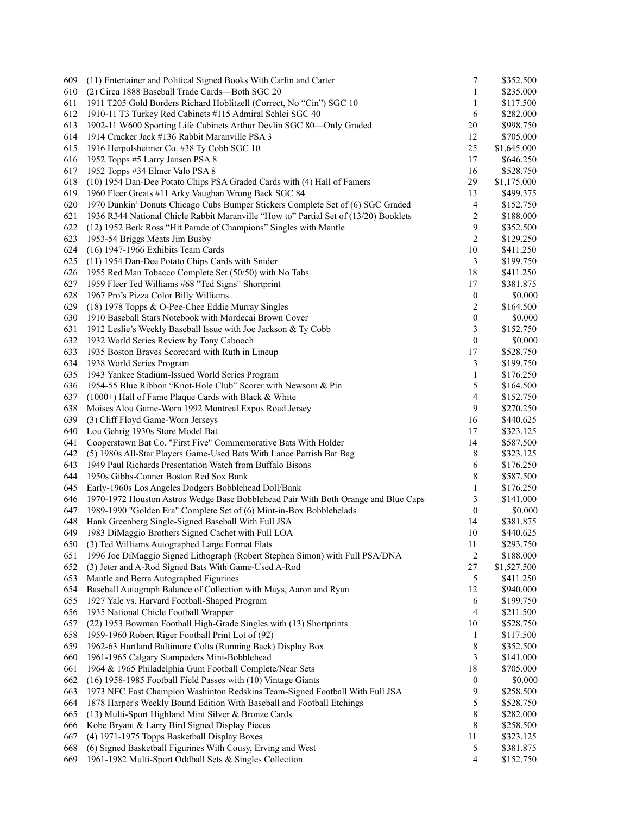| 609 | (11) Entertainer and Political Signed Books With Carlin and Carter                   | 7                       | \$352.500   |
|-----|--------------------------------------------------------------------------------------|-------------------------|-------------|
| 610 | (2) Circa 1888 Baseball Trade Cards-Both SGC 20                                      | 1                       | \$235.000   |
| 611 | 1911 T205 Gold Borders Richard Hoblitzell (Correct, No "Cin") SGC 10                 | 1                       | \$117.500   |
| 612 | 1910-11 T3 Turkey Red Cabinets #115 Admiral Schlei SGC 40                            | 6                       | \$282.000   |
| 613 | 1902-11 W600 Sporting Life Cabinets Arthur Devlin SGC 80-Only Graded                 | 20                      | \$998.750   |
| 614 | 1914 Cracker Jack #136 Rabbit Maranville PSA 3                                       | 12                      | \$705.000   |
| 615 | 1916 Herpolsheimer Co. #38 Ty Cobb SGC 10                                            | 25                      | \$1,645.000 |
| 616 | 1952 Topps #5 Larry Jansen PSA 8                                                     | 17                      | \$646.250   |
| 617 | 1952 Topps #34 Elmer Valo PSA 8                                                      | 16                      | \$528.750   |
| 618 | (10) 1954 Dan-Dee Potato Chips PSA Graded Cards with (4) Hall of Famers              | 29                      | \$1,175.000 |
| 619 | 1960 Fleer Greats #11 Arky Vaughan Wrong Back SGC 84                                 | 13                      | \$499.375   |
| 620 | 1970 Dunkin' Donuts Chicago Cubs Bumper Stickers Complete Set of (6) SGC Graded      | 4                       | \$152.750   |
| 621 | 1936 R344 National Chicle Rabbit Maranville "How to" Partial Set of (13/20) Booklets | $\overline{\mathbf{c}}$ | \$188.000   |
| 622 | (12) 1952 Berk Ross "Hit Parade of Champions" Singles with Mantle                    | 9                       | \$352.500   |
| 623 | 1953-54 Briggs Meats Jim Busby                                                       | 2                       | \$129.250   |
| 624 | (16) 1947-1966 Exhibits Team Cards                                                   | 10                      | \$411.250   |
| 625 | (11) 1954 Dan-Dee Potato Chips Cards with Snider                                     | 3                       | \$199.750   |
| 626 | 1955 Red Man Tobacco Complete Set (50/50) with No Tabs                               | 18                      | \$411.250   |
| 627 | 1959 Fleer Ted Williams #68 "Ted Signs" Shortprint                                   | 17                      | \$381.875   |
| 628 | 1967 Pro's Pizza Color Billy Williams                                                | $\boldsymbol{0}$        | \$0.000     |
| 629 | (18) 1978 Topps & O-Pee-Chee Eddie Murray Singles                                    | 2                       | \$164.500   |
| 630 | 1910 Baseball Stars Notebook with Mordecai Brown Cover                               | $\boldsymbol{0}$        |             |
|     |                                                                                      |                         | \$0.000     |
| 631 | 1912 Leslie's Weekly Baseball Issue with Joe Jackson & Ty Cobb                       | 3                       | \$152.750   |
| 632 | 1932 World Series Review by Tony Cabooch                                             | $\boldsymbol{0}$        | \$0.000     |
| 633 | 1935 Boston Braves Scorecard with Ruth in Lineup                                     | 17                      | \$528.750   |
| 634 | 1938 World Series Program                                                            | 3                       | \$199.750   |
| 635 | 1943 Yankee Stadium-Issued World Series Program                                      | 1                       | \$176.250   |
| 636 | 1954-55 Blue Ribbon "Knot-Hole Club" Scorer with Newsom & Pin                        | 5                       | \$164.500   |
| 637 | (1000+) Hall of Fame Plaque Cards with Black & White                                 | 4                       | \$152.750   |
| 638 | Moises Alou Game-Worn 1992 Montreal Expos Road Jersey                                | 9                       | \$270.250   |
| 639 | (3) Cliff Floyd Game-Worn Jerseys                                                    | 16                      | \$440.625   |
| 640 | Lou Gehrig 1930s Store Model Bat                                                     | 17                      | \$323.125   |
| 641 | Cooperstown Bat Co. "First Five" Commemorative Bats With Holder                      | 14                      | \$587.500   |
| 642 | (5) 1980s All-Star Players Game-Used Bats With Lance Parrish Bat Bag                 | 8                       | \$323.125   |
| 643 | 1949 Paul Richards Presentation Watch from Buffalo Bisons                            | 6                       | \$176.250   |
| 644 | 1950s Gibbs-Conner Boston Red Sox Bank                                               | 8                       | \$587.500   |
| 645 | Early-1960s Los Angeles Dodgers Bobblehead Doll/Bank                                 | 1                       | \$176.250   |
| 646 | 1970-1972 Houston Astros Wedge Base Bobblehead Pair With Both Orange and Blue Caps   | 3                       | \$141.000   |
| 647 | 1989-1990 "Golden Era" Complete Set of (6) Mint-in-Box Bobblehelads                  | $\mathbf{0}$            | \$0.000     |
| 648 | Hank Greenberg Single-Signed Baseball With Full JSA                                  | 14                      | \$381.875   |
| 649 | 1983 DiMaggio Brothers Signed Cachet with Full LOA                                   | 10                      | \$440.625   |
| 650 | (3) Ted Williams Autographed Large Format Flats                                      | 11                      | \$293.750   |
| 651 | 1996 Joe DiMaggio Signed Lithograph (Robert Stephen Simon) with Full PSA/DNA         | 2                       | \$188.000   |
| 652 | (3) Jeter and A-Rod Signed Bats With Game-Used A-Rod                                 | 27                      | \$1,527.500 |
| 653 | Mantle and Berra Autographed Figurines                                               | 5                       | \$411.250   |
| 654 | Baseball Autograph Balance of Collection with Mays, Aaron and Ryan                   | 12                      | \$940.000   |
| 655 | 1927 Yale vs. Harvard Football-Shaped Program                                        | 6                       | \$199.750   |
| 656 | 1935 National Chicle Football Wrapper                                                | 4                       | \$211.500   |
| 657 | (22) 1953 Bowman Football High-Grade Singles with (13) Shortprints                   | 10                      | \$528.750   |
| 658 | 1959-1960 Robert Riger Football Print Lot of (92)                                    | 1                       | \$117.500   |
| 659 | 1962-63 Hartland Baltimore Colts (Running Back) Display Box                          | 8                       | \$352.500   |
| 660 | 1961-1965 Calgary Stampeders Mini-Bobblehead                                         | 3                       | \$141.000   |
| 661 | 1964 & 1965 Philadelphia Gum Football Complete/Near Sets                             | $18\,$                  | \$705.000   |
| 662 | (16) 1958-1985 Football Field Passes with (10) Vintage Giants                        | $\boldsymbol{0}$        | \$0.000     |
| 663 | 1973 NFC East Champion Washinton Redskins Team-Signed Football With Full JSA         | 9                       | \$258.500   |
| 664 | 1878 Harper's Weekly Bound Edition With Baseball and Football Etchings               | 5                       | \$528.750   |
| 665 | (13) Multi-Sport Highland Mint Silver & Bronze Cards                                 | 8                       | \$282.000   |
| 666 | Kobe Bryant & Larry Bird Signed Display Pieces                                       | 8                       | \$258.500   |
| 667 | (4) 1971-1975 Topps Basketball Display Boxes                                         | 11                      | \$323.125   |
| 668 | (6) Signed Basketball Figurines With Cousy, Erving and West                          | 5                       | \$381.875   |
| 669 | 1961-1982 Multi-Sport Oddball Sets & Singles Collection                              | 4                       | \$152.750   |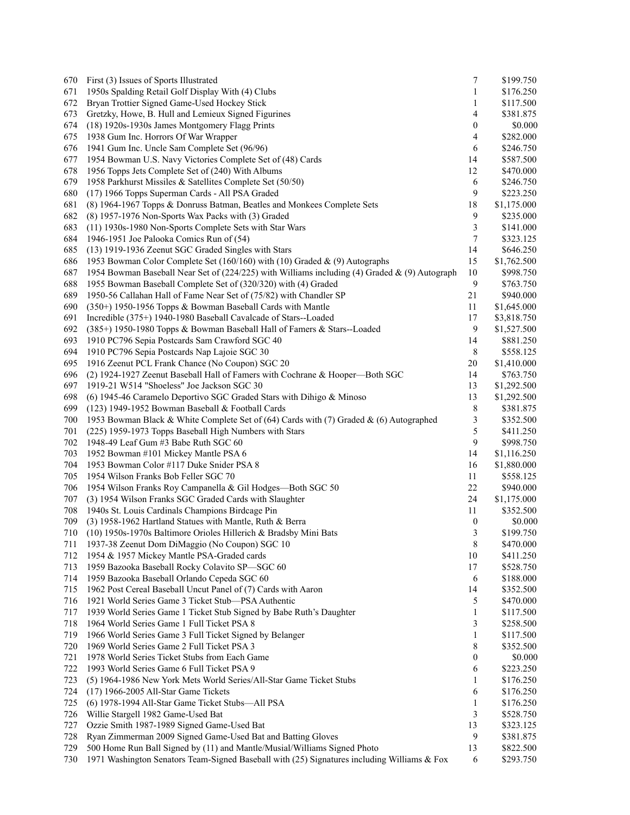| 670 | First (3) Issues of Sports Illustrated                                                        | 7                | \$199.750   |
|-----|-----------------------------------------------------------------------------------------------|------------------|-------------|
| 671 | 1950s Spalding Retail Golf Display With (4) Clubs                                             | 1                | \$176.250   |
| 672 | Bryan Trottier Signed Game-Used Hockey Stick                                                  | 1                | \$117.500   |
| 673 | Gretzky, Howe, B. Hull and Lemieux Signed Figurines                                           | 4                | \$381.875   |
| 674 | (18) 1920s-1930s James Montgomery Flagg Prints                                                | $\boldsymbol{0}$ | \$0.000     |
| 675 | 1938 Gum Inc. Horrors Of War Wrapper                                                          | 4                | \$282.000   |
| 676 | 1941 Gum Inc. Uncle Sam Complete Set (96/96)                                                  | 6                | \$246.750   |
| 677 | 1954 Bowman U.S. Navy Victories Complete Set of (48) Cards                                    | 14               | \$587.500   |
| 678 | 1956 Topps Jets Complete Set of (240) With Albums                                             | 12               | \$470.000   |
| 679 | 1958 Parkhurst Missiles & Satellites Complete Set (50/50)                                     | 6                | \$246.750   |
| 680 | (17) 1966 Topps Superman Cards - All PSA Graded                                               | 9                | \$223.250   |
| 681 | (8) 1964-1967 Topps & Donruss Batman, Beatles and Monkees Complete Sets                       | 18               | \$1,175.000 |
| 682 | (8) 1957-1976 Non-Sports Wax Packs with (3) Graded                                            | 9                | \$235.000   |
|     |                                                                                               | 3                |             |
| 683 | (11) 1930s-1980 Non-Sports Complete Sets with Star Wars                                       |                  | \$141.000   |
| 684 | 1946-1951 Joe Palooka Comics Run of (54)                                                      | 7                | \$323.125   |
| 685 | (13) 1919-1936 Zeenut SGC Graded Singles with Stars                                           | 14               | \$646.250   |
| 686 | 1953 Bowman Color Complete Set (160/160) with (10) Graded & (9) Autographs                    | 15               | \$1,762.500 |
| 687 | 1954 Bowman Baseball Near Set of (224/225) with Williams including (4) Graded & (9) Autograph | 10               | \$998.750   |
| 688 | 1955 Bowman Baseball Complete Set of (320/320) with (4) Graded                                | 9                | \$763.750   |
| 689 | 1950-56 Callahan Hall of Fame Near Set of (75/82) with Chandler SP                            | 21               | \$940.000   |
| 690 | (350+) 1950-1956 Topps & Bowman Baseball Cards with Mantle                                    | 11               | \$1,645.000 |
| 691 | Incredible (375+) 1940-1980 Baseball Cavalcade of Stars--Loaded                               | 17               | \$3,818.750 |
| 692 | (385+) 1950-1980 Topps & Bowman Baseball Hall of Famers & Stars--Loaded                       | 9                | \$1,527.500 |
| 693 | 1910 PC796 Sepia Postcards Sam Crawford SGC 40                                                | 14               | \$881.250   |
| 694 | 1910 PC796 Sepia Postcards Nap Lajoie SGC 30                                                  | 8                | \$558.125   |
| 695 | 1916 Zeenut PCL Frank Chance (No Coupon) SGC 20                                               | 20               | \$1,410.000 |
| 696 | (2) 1924-1927 Zeenut Baseball Hall of Famers with Cochrane & Hooper-Both SGC                  | 14               | \$763.750   |
| 697 | 1919-21 W514 "Shoeless" Joe Jackson SGC 30                                                    | 13               | \$1,292.500 |
| 698 | (6) 1945-46 Caramelo Deportivo SGC Graded Stars with Dihigo & Minoso                          | 13               | \$1,292.500 |
| 699 | (123) 1949-1952 Bowman Baseball & Football Cards                                              | 8                | \$381.875   |
| 700 | 1953 Bowman Black & White Complete Set of (64) Cards with (7) Graded & (6) Autographed        | 3                | \$352.500   |
| 701 | (225) 1959-1973 Topps Baseball High Numbers with Stars                                        | 5                | \$411.250   |
|     | 1948-49 Leaf Gum #3 Babe Ruth SGC 60                                                          | 9                |             |
| 702 |                                                                                               |                  | \$998.750   |
| 703 | 1952 Bowman #101 Mickey Mantle PSA 6                                                          | 14               | \$1,116.250 |
| 704 | 1953 Bowman Color #117 Duke Snider PSA 8                                                      | 16               | \$1,880.000 |
| 705 | 1954 Wilson Franks Bob Feller SGC 70                                                          | 11               | \$558.125   |
| 706 | 1954 Wilson Franks Roy Campanella & Gil Hodges-Both SGC 50                                    | 22               | \$940.000   |
| 707 | (3) 1954 Wilson Franks SGC Graded Cards with Slaughter                                        | 24               | \$1,175.000 |
| 708 | 1940s St. Louis Cardinals Champions Birdcage Pin                                              | 11               | \$352.500   |
| 709 | (3) 1958-1962 Hartland Statues with Mantle, Ruth & Berra                                      | $\boldsymbol{0}$ | \$0.000     |
| 710 | (10) 1950s-1970s Baltimore Orioles Hillerich & Bradsby Mini Bats                              | 3                | \$199.750   |
| 711 | 1937-38 Zeenut Dom DiMaggio (No Coupon) SGC 10                                                | $\,$ 8 $\,$      | \$470.000   |
| 712 | 1954 & 1957 Mickey Mantle PSA-Graded cards                                                    | 10               | \$411.250   |
| 713 | 1959 Bazooka Baseball Rocky Colavito SP-SGC 60                                                | 17               | \$528.750   |
| 714 | 1959 Bazooka Baseball Orlando Cepeda SGC 60                                                   | 6                | \$188.000   |
| 715 | 1962 Post Cereal Baseball Uncut Panel of (7) Cards with Aaron                                 | 14               | \$352.500   |
| 716 | 1921 World Series Game 3 Ticket Stub-PSA Authentic                                            | 5                | \$470.000   |
| 717 | 1939 World Series Game 1 Ticket Stub Signed by Babe Ruth's Daughter                           | 1                | \$117.500   |
| 718 | 1964 World Series Game 1 Full Ticket PSA 8                                                    | 3                | \$258.500   |
| 719 | 1966 World Series Game 3 Full Ticket Signed by Belanger                                       | 1                | \$117.500   |
| 720 | 1969 World Series Game 2 Full Ticket PSA 3                                                    | 8                | \$352.500   |
| 721 | 1978 World Series Ticket Stubs from Each Game                                                 | $\boldsymbol{0}$ | \$0.000     |
|     |                                                                                               |                  |             |
| 722 | 1993 World Series Game 6 Full Ticket PSA 9                                                    | 6                | \$223.250   |
| 723 | (5) 1964-1986 New York Mets World Series/All-Star Game Ticket Stubs                           | 1                | \$176.250   |
| 724 | $(17)$ 1966-2005 All-Star Game Tickets                                                        | 6                | \$176.250   |
| 725 | (6) 1978-1994 All-Star Game Ticket Stubs-All PSA                                              | 1                | \$176.250   |
| 726 | Willie Stargell 1982 Game-Used Bat                                                            | 3                | \$528.750   |
| 727 | Ozzie Smith 1987-1989 Signed Game-Used Bat                                                    | 13               | \$323.125   |
| 728 | Ryan Zimmerman 2009 Signed Game-Used Bat and Batting Gloves                                   | 9                | \$381.875   |
| 729 | 500 Home Run Ball Signed by (11) and Mantle/Musial/Williams Signed Photo                      | 13               | \$822.500   |
| 730 | 1971 Washington Senators Team-Signed Baseball with (25) Signatures including Williams & Fox   | 6                | \$293.750   |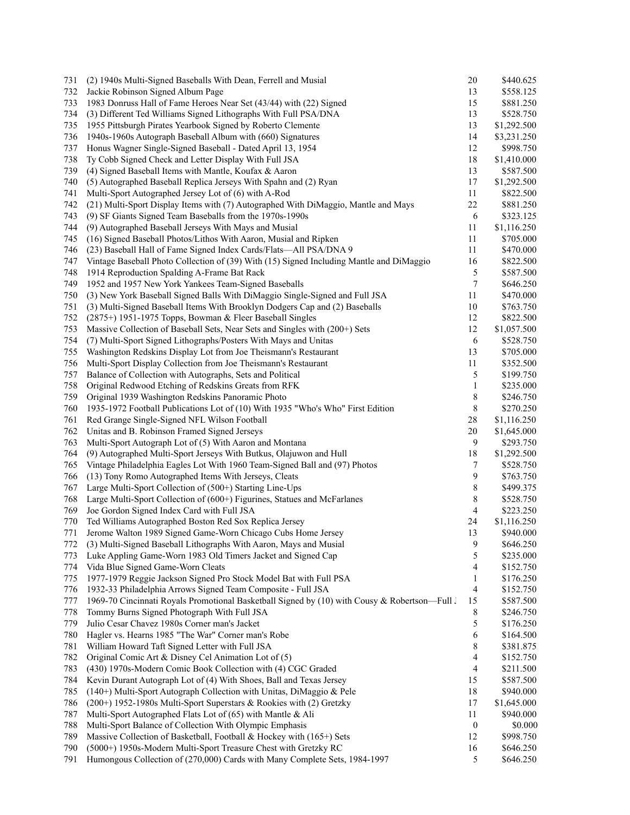| 731 | (2) 1940s Multi-Signed Baseballs With Dean, Ferrell and Musial                               | 20               | \$440.625   |
|-----|----------------------------------------------------------------------------------------------|------------------|-------------|
| 732 | Jackie Robinson Signed Album Page                                                            | 13               | \$558.125   |
| 733 | 1983 Donruss Hall of Fame Heroes Near Set (43/44) with (22) Signed                           | 15               | \$881.250   |
| 734 | (3) Different Ted Williams Signed Lithographs With Full PSA/DNA                              | 13               | \$528.750   |
| 735 | 1955 Pittsburgh Pirates Yearbook Signed by Roberto Clemente                                  | 13               | \$1,292.500 |
| 736 | 1940s-1960s Autograph Baseball Album with (660) Signatures                                   | 14               | \$3,231.250 |
| 737 | Honus Wagner Single-Signed Baseball - Dated April 13, 1954                                   | 12               | \$998.750   |
| 738 | Ty Cobb Signed Check and Letter Display With Full JSA                                        | 18               | \$1,410.000 |
| 739 | (4) Signed Baseball Items with Mantle, Koufax & Aaron                                        | 13               | \$587.500   |
| 740 | (5) Autographed Baseball Replica Jerseys With Spahn and (2) Ryan                             | 17               | \$1,292.500 |
| 741 | Multi-Sport Autographed Jersey Lot of (6) with A-Rod                                         | 11               | \$822.500   |
| 742 | (21) Multi-Sport Display Items with (7) Autographed With DiMaggio, Mantle and Mays           | 22               | \$881.250   |
| 743 | (9) SF Giants Signed Team Baseballs from the 1970s-1990s                                     | 6                | \$323.125   |
| 744 | (9) Autographed Baseball Jerseys With Mays and Musial                                        | 11               | \$1,116.250 |
| 745 | (16) Signed Baseball Photos/Lithos With Aaron, Musial and Ripken                             | 11               | \$705.000   |
| 746 | (23) Baseball Hall of Fame Signed Index Cards/Flats-All PSA/DNA 9                            | 11               | \$470.000   |
| 747 | Vintage Baseball Photo Collection of (39) With (15) Signed Including Mantle and DiMaggio     | 16               | \$822.500   |
| 748 | 1914 Reproduction Spalding A-Frame Bat Rack                                                  | 5                | \$587.500   |
| 749 | 1952 and 1957 New York Yankees Team-Signed Baseballs                                         | 7                | \$646.250   |
| 750 | (3) New York Baseball Signed Balls With DiMaggio Single-Signed and Full JSA                  | 11               | \$470.000   |
| 751 | (3) Multi-Signed Baseball Items With Brooklyn Dodgers Cap and (2) Baseballs                  | 10               | \$763.750   |
| 752 | (2875+) 1951-1975 Topps, Bowman & Fleer Baseball Singles                                     | 12               | \$822.500   |
| 753 | Massive Collection of Baseball Sets, Near Sets and Singles with (200+) Sets                  | 12               | \$1,057.500 |
| 754 | (7) Multi-Sport Signed Lithographs/Posters With Mays and Unitas                              | 6                | \$528.750   |
| 755 |                                                                                              | 13               | \$705.000   |
| 756 | Washington Redskins Display Lot from Joe Theismann's Restaurant                              | 11               |             |
|     | Multi-Sport Display Collection from Joe Theismann's Restaurant                               |                  | \$352.500   |
| 757 | Balance of Collection with Autographs, Sets and Political                                    | 5<br>1           | \$199.750   |
| 758 | Original Redwood Etching of Redskins Greats from RFK                                         |                  | \$235.000   |
| 759 | Original 1939 Washington Redskins Panoramic Photo                                            | 8                | \$246.750   |
| 760 | 1935-1972 Football Publications Lot of (10) With 1935 "Who's Who" First Edition              | 8                | \$270.250   |
| 761 | Red Grange Single-Signed NFL Wilson Football                                                 | 28               | \$1,116.250 |
| 762 | Unitas and B. Robinson Framed Signed Jerseys                                                 | 20               | \$1,645.000 |
| 763 | Multi-Sport Autograph Lot of (5) With Aaron and Montana                                      | 9                | \$293.750   |
| 764 | (9) Autographed Multi-Sport Jerseys With Butkus, Olajuwon and Hull                           | 18               | \$1,292.500 |
| 765 | Vintage Philadelphia Eagles Lot With 1960 Team-Signed Ball and (97) Photos                   | 7                | \$528.750   |
| 766 | (13) Tony Romo Autographed Items With Jerseys, Cleats                                        | 9                | \$763.750   |
| 767 | Large Multi-Sport Collection of (500+) Starting Line-Ups                                     | 8                | \$499.375   |
| 768 | Large Multi-Sport Collection of (600+) Figurines, Statues and McFarlanes                     | 8                | \$528.750   |
| 769 | Joe Gordon Signed Index Card with Full JSA                                                   | 4                | \$223.250   |
| 770 | Ted Williams Autographed Boston Red Sox Replica Jersey                                       | 24               | \$1,116.250 |
| 771 | Jerome Walton 1989 Signed Game-Worn Chicago Cubs Home Jersey                                 | 13               | \$940.000   |
| 772 | (3) Multi-Signed Baseball Lithographs With Aaron, Mays and Musial                            | 9                | \$646.250   |
| 773 | Luke Appling Game-Worn 1983 Old Timers Jacket and Signed Cap                                 | 5                | \$235.000   |
| 774 | Vida Blue Signed Game-Worn Cleats                                                            | 4                | \$152.750   |
| 775 | 1977-1979 Reggie Jackson Signed Pro Stock Model Bat with Full PSA                            | 1                | \$176.250   |
| 776 | 1932-33 Philadelphia Arrows Signed Team Composite - Full JSA                                 | 4                | \$152.750   |
| 777 | 1969-70 Cincinnati Royals Promotional Basketball Signed by (10) with Cousy & Robertson-Full. | 15               | \$587.500   |
| 778 | Tommy Burns Signed Photograph With Full JSA                                                  | $\,$ 8 $\,$      | \$246.750   |
| 779 | Julio Cesar Chavez 1980s Corner man's Jacket                                                 | 5                | \$176.250   |
| 780 | Hagler vs. Hearns 1985 "The War" Corner man's Robe                                           | 6                | \$164.500   |
| 781 | William Howard Taft Signed Letter with Full JSA                                              | 8                | \$381.875   |
| 782 | Original Comic Art & Disney Cel Animation Lot of (5)                                         | 4                | \$152.750   |
| 783 | (430) 1970s-Modern Comic Book Collection with (4) CGC Graded                                 | 4                | \$211.500   |
| 784 | Kevin Durant Autograph Lot of (4) With Shoes, Ball and Texas Jersey                          | 15               | \$587.500   |
| 785 | (140+) Multi-Sport Autograph Collection with Unitas, DiMaggio & Pele                         | 18               | \$940.000   |
| 786 | (200+) 1952-1980s Multi-Sport Superstars & Rookies with (2) Gretzky                          | 17               | \$1,645.000 |
| 787 | Multi-Sport Autographed Flats Lot of (65) with Mantle & Ali                                  | 11               | \$940.000   |
| 788 | Multi-Sport Balance of Collection With Olympic Emphasis                                      | $\boldsymbol{0}$ | \$0.000     |
| 789 | Massive Collection of Basketball, Football & Hockey with (165+) Sets                         | 12               | \$998.750   |
| 790 | (5000+) 1950s-Modern Multi-Sport Treasure Chest with Gretzky RC                              | 16               | \$646.250   |
| 791 | Humongous Collection of (270,000) Cards with Many Complete Sets, 1984-1997                   | $\sqrt{5}$       | \$646.250   |